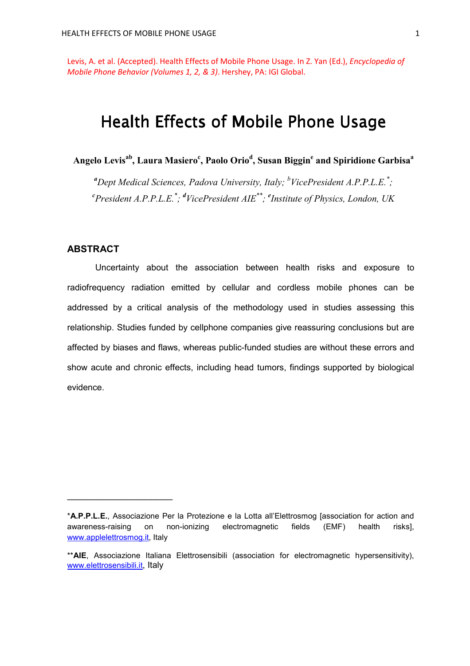Levis, A. et al. (Accepted). Health Effects of Mobile Phone Usage. In Z. Yan (Ed.), *Encyclopedia of Mobile Phone Behavior (Volumes 1, 2, & 3)*. Hershey, PA: IGI Global.

# Health Effects of Mobile Phone Usage

**Angelo Levisab, Laura Masiero<sup>c</sup> , Paolo Orio<sup>d</sup> , Susan Biggin<sup>e</sup> and Spiridione Garbisa<sup>a</sup>**

*<sup>a</sup>Dept Medical Sciences, Padova University, Italy; <sup>b</sup> VicePresident A.P.P.L.E.\* ; c President A.P.P.L.E.\* ; d VicePresident AIE\*\* ; e Institute of Physics, London, UK*

### **ABSTRACT**

 $\_$ 

Uncertainty about the association between health risks and exposure to radiofrequency radiation emitted by cellular and cordless mobile phones can be addressed by a critical analysis of the methodology used in studies assessing this relationship. Studies funded by cellphone companies give reassuring conclusions but are affected by biases and flaws, whereas public-funded studies are without these errors and show acute and chronic effects, including head tumors, findings supported by biological evidence.

<sup>\*</sup>**A.P.P.L.E.**, Associazione Per la Protezione e la Lotta all'Elettrosmog [association for action and awareness-raising on non-ionizing electromagnetic fields (EMF) health risks], www.applelettrosmog.it, Italy

<sup>\*\*</sup>**AIE**, Associazione Italiana Elettrosensibili (association for electromagnetic hypersensitivity), www.elettrosensibili.it, Italy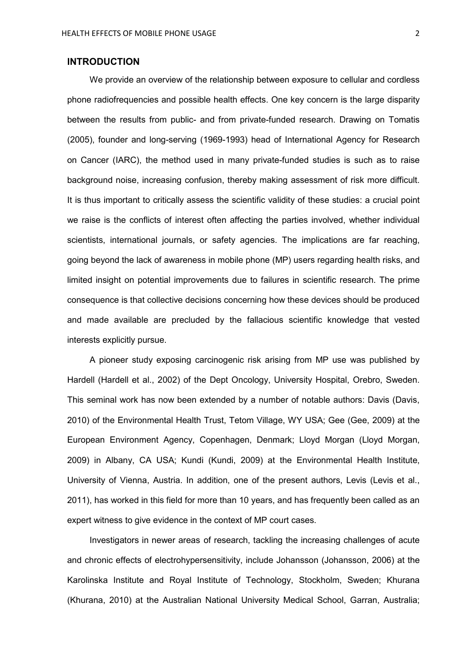## **INTRODUCTION**

We provide an overview of the relationship between exposure to cellular and cordless phone radiofrequencies and possible health effects. One key concern is the large disparity between the results from public- and from private-funded research. Drawing on Tomatis (2005), founder and long-serving (1969-1993) head of International Agency for Research on Cancer (IARC), the method used in many private-funded studies is such as to raise background noise, increasing confusion, thereby making assessment of risk more difficult. It is thus important to critically assess the scientific validity of these studies: a crucial point we raise is the conflicts of interest often affecting the parties involved, whether individual scientists, international journals, or safety agencies. The implications are far reaching, going beyond the lack of awareness in mobile phone (MP) users regarding health risks, and limited insight on potential improvements due to failures in scientific research. The prime consequence is that collective decisions concerning how these devices should be produced and made available are precluded by the fallacious scientific knowledge that vested interests explicitly pursue.

A pioneer study exposing carcinogenic risk arising from MP use was published by Hardell (Hardell et al., 2002) of the Dept Oncology, University Hospital, Orebro, Sweden. This seminal work has now been extended by a number of notable authors: Davis (Davis, 2010) of the Environmental Health Trust, Tetom Village, WY USA; Gee (Gee, 2009) at the European Environment Agency, Copenhagen, Denmark; Lloyd Morgan (Lloyd Morgan, 2009) in Albany, CA USA; Kundi (Kundi, 2009) at the Environmental Health Institute, University of Vienna, Austria. In addition, one of the present authors, Levis (Levis et al., 2011), has worked in this field for more than 10 years, and has frequently been called as an expert witness to give evidence in the context of MP court cases.

Investigators in newer areas of research, tackling the increasing challenges of acute and chronic effects of electrohypersensitivity, include Johansson (Johansson, 2006) at the Karolinska Institute and Royal Institute of Technology, Stockholm, Sweden; Khurana (Khurana, 2010) at the Australian National University Medical School, Garran, Australia;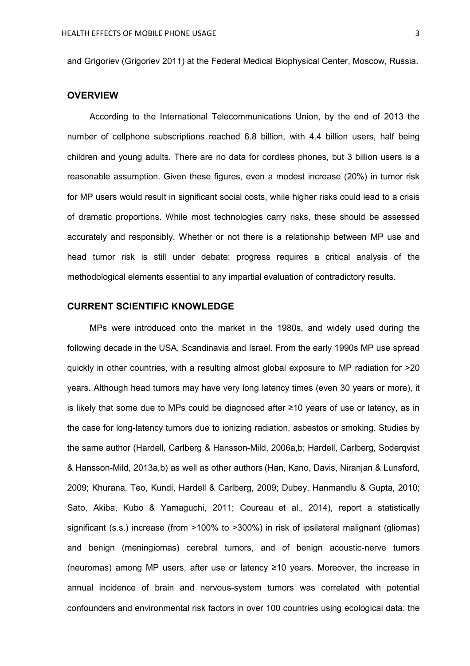and Grigoriev (Grigoriev 2011) at the Federal Medical Biophysical Center, Moscow, Russia.

### **OVERVIEW**

According to the International Telecommunications Union, by the end of 2013 the number of cellphone subscriptions reached 6.8 billion, with 4.4 billion users, half being children and young adults. There are no data for cordless phones, but 3 billion users is a reasonable assumption. Given these figures, even a modest increase (20%) in tumor risk for MP users would result in significant social costs, while higher risks could lead to a crisis of dramatic proportions. While most technologies carry risks, these should be assessed accurately and responsibly. Whether or not there is a relationship between MP use and head tumor risk is still under debate: progress requires a critical analysis of the methodological elements essential to any impartial evaluation of contradictory results.

### **CURRENT SCIENTIFIC KNOWLEDGE**

MPs were introduced onto the market in the 1980s, and widely used during the following decade in the USA, Scandinavia and Israel. From the early 1990s MP use spread quickly in other countries, with a resulting almost global exposure to MP radiation for >20 years. Although head tumors may have very long latency times (even 30 years or more), it is likely that some due to MPs could be diagnosed after ≥10 years of use or latency, as in the case for long-latency tumors due to ionizing radiation, asbestos or smoking. Studies by the same author (Hardell, Carlberg & Hansson-Mild, 2006a,b; Hardell, Carlberg, Soderqvist & Hansson-Mild, 2013a,b) as well as other authors (Han, Kano, Davis, Niranjan & Lunsford, 2009; Khurana, Teo, Kundi, Hardell & Carlberg, 2009; Dubey, Hanmandlu & Gupta, 2010; Sato, Akiba, Kubo & Yamaguchi, 2011; Coureau et al., 2014), report a statistically significant (s.s.) increase (from >100% to >300%) in risk of ipsilateral malignant (gliomas) and benign (meningiomas) cerebral tumors, and of benign acoustic-nerve tumors (neuromas) among MP users, after use or latency ≥10 years. Moreover, the increase in annual incidence of brain and nervous-system tumors was correlated with potential confounders and environmental risk factors in over 100 countries using ecological data: the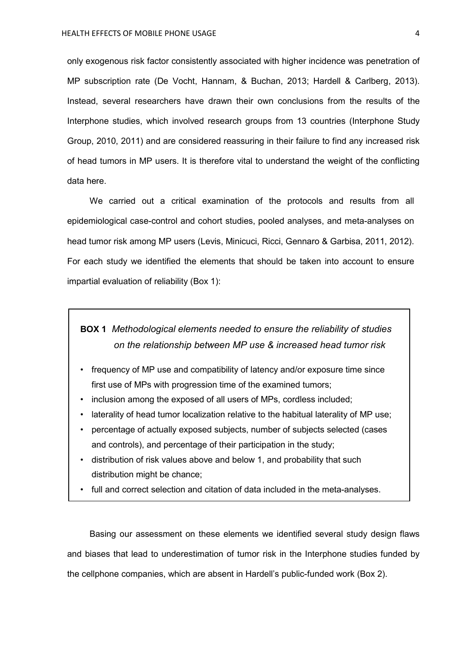only exogenous risk factor consistently associated with higher incidence was penetration of MP subscription rate (De Vocht, Hannam, & Buchan, 2013; Hardell & Carlberg, 2013). Instead, several researchers have drawn their own conclusions from the results of the Interphone studies, which involved research groups from 13 countries (Interphone Study Group, 2010, 2011) and are considered reassuring in their failure to find any increased risk of head tumors in MP users. It is therefore vital to understand the weight of the conflicting data here.

We carried out a critical examination of the protocols and results from all epidemiological case-control and cohort studies, pooled analyses, and meta-analyses on head tumor risk among MP users (Levis, Minicuci, Ricci, Gennaro & Garbisa, 2011, 2012). For each study we identified the elements that should be taken into account to ensure impartial evaluation of reliability (Box 1):

# **BOX 1** *Methodological elements needed to ensure the reliability of studies on the relationship between MP use & increased head tumor risk*

- frequency of MP use and compatibility of latency and/or exposure time since first use of MPs with progression time of the examined tumors;
- inclusion among the exposed of all users of MPs, cordless included;
- laterality of head tumor localization relative to the habitual laterality of MP use;
- percentage of actually exposed subjects, number of subjects selected (cases and controls), and percentage of their participation in the study;
- distribution of risk values above and below 1, and probability that such distribution might be chance;
- full and correct selection and citation of data included in the meta-analyses.

Basing our assessment on these elements we identified several study design flaws and biases that lead to underestimation of tumor risk in the Interphone studies funded by the cellphone companies, which are absent in Hardell's public-funded work (Box 2).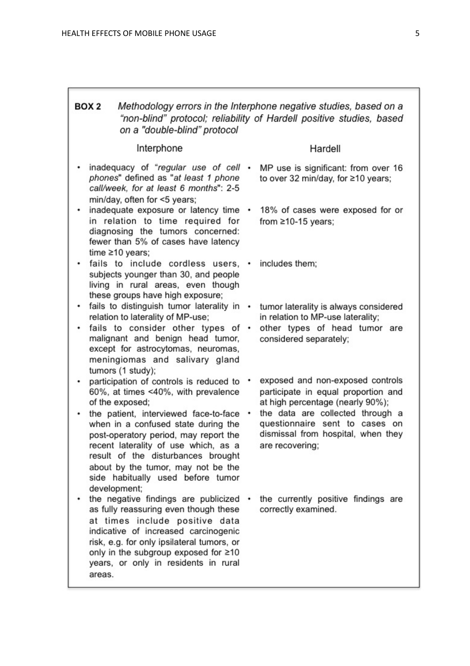| BOX 2 | Methodology errors in the Interphone negative studies, based on a    |
|-------|----------------------------------------------------------------------|
|       | "non-blind" protocol; reliability of Hardell positive studies, based |
|       | on a "double-blind" protocol                                         |

#### Interphone

- inadequacy of "regular use of cell . phones" defined as "at least 1 phone call/week, for at least 6 months": 2-5 min/day, often for <5 years;
- · inadequate exposure or latency time · in relation to time required for diagnosing the tumors concerned: fewer than 5% of cases have latency time  $\geq 10$  years:
- · fails to include cordless users, · subjects younger than 30, and people living in rural areas, even though these groups have high exposure;
- · fails to distinguish tumor laterality in relation to laterality of MP-use:
- · fails to consider other types of · malignant and benign head tumor, except for astrocytomas, neuromas, meningiomas and salivary gland tumors (1 study);
- participation of controls is reduced to 60%, at times <40%, with prevalence of the exposed;
- the patient, interviewed face-to-face when in a confused state during the post-operatory period, may report the recent laterality of use which, as a result of the disturbances brought about by the tumor, may not be the side habitually used before tumor development:
- the negative findings are publicized as fully reassuring even though these at times include positive data indicative of increased carcinogenic risk, e.g. for only ipsilateral tumors, or only in the subgroup exposed for ≥10 years, or only in residents in rural areas.

### Hardell

- MP use is significant: from over 16 to over 32 min/day, for ≥10 years;
- 18% of cases were exposed for or from  $\geq 10-15$  vears:
- includes them;
- tumor laterality is always considered in relation to MP-use laterality:
- other types of head tumor are considered separately;
- exposed and non-exposed controls participate in equal proportion and at high percentage (nearly 90%);
- the data are collected through a questionnaire sent to cases on dismissal from hospital, when they are recovering;
- the currently positive findings are correctly examined.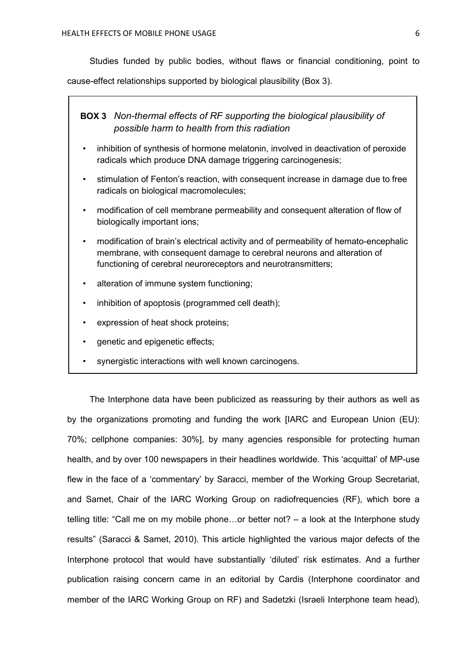Studies funded by public bodies, without flaws or financial conditioning, point to

cause-effect relationships supported by biological plausibility (Box 3).

| <b>BOX 3</b> Non-thermal effects of RF supporting the biological plausibility of<br>possible harm to health from this radiation                                                                                                              |  |
|----------------------------------------------------------------------------------------------------------------------------------------------------------------------------------------------------------------------------------------------|--|
| inhibition of synthesis of hormone melatonin, involved in deactivation of peroxide<br>٠<br>radicals which produce DNA damage triggering carcinogenesis;                                                                                      |  |
| stimulation of Fenton's reaction, with consequent increase in damage due to free<br>$\bullet$<br>radicals on biological macromolecules;                                                                                                      |  |
| modification of cell membrane permeability and consequent alteration of flow of<br>$\bullet$<br>biologically important ions;                                                                                                                 |  |
| modification of brain's electrical activity and of permeability of hemato-encephalic<br>$\bullet$<br>membrane, with consequent damage to cerebral neurons and alteration of<br>functioning of cerebral neuroreceptors and neurotransmitters; |  |
| alteration of immune system functioning;<br>٠                                                                                                                                                                                                |  |
| inhibition of apoptosis (programmed cell death);                                                                                                                                                                                             |  |
| expression of heat shock proteins;<br>٠                                                                                                                                                                                                      |  |
| genetic and epigenetic effects;                                                                                                                                                                                                              |  |

synergistic interactions with well known carcinogens.

The Interphone data have been publicized as reassuring by their authors as well as by the organizations promoting and funding the work [IARC and European Union (EU): 70%; cellphone companies: 30%], by many agencies responsible for protecting human health, and by over 100 newspapers in their headlines worldwide. This 'acquittal' of MP-use flew in the face of a 'commentary' by Saracci, member of the Working Group Secretariat, and Samet, Chair of the IARC Working Group on radiofrequencies (RF), which bore a telling title: "Call me on my mobile phone...or better not? – a look at the Interphone study results" (Saracci & Samet, 2010). This article highlighted the various major defects of the Interphone protocol that would have substantially 'diluted' risk estimates. And a further publication raising concern came in an editorial by Cardis (Interphone coordinator and member of the IARC Working Group on RF) and Sadetzki (Israeli Interphone team head),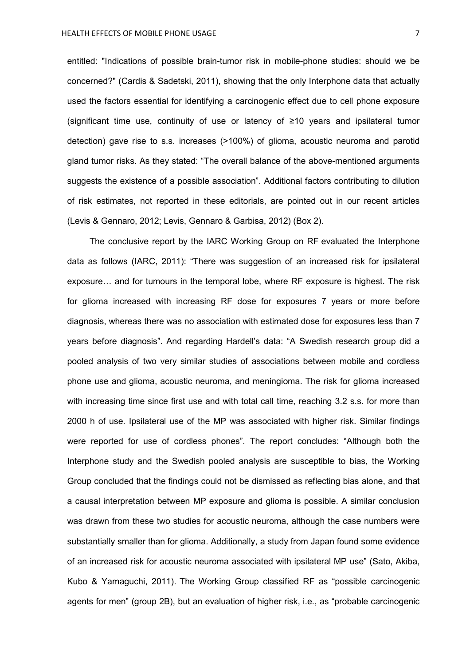entitled: "Indications of possible brain-tumor risk in mobile-phone studies: should we be concerned?" (Cardis & Sadetski, 2011), showing that the only Interphone data that actually used the factors essential for identifying a carcinogenic effect due to cell phone exposure (significant time use, continuity of use or latency of ≥10 years and ipsilateral tumor detection) gave rise to s.s. increases (>100%) of glioma, acoustic neuroma and parotid gland tumor risks. As they stated: "The overall balance of the above-mentioned arguments suggests the existence of a possible association". Additional factors contributing to dilution of risk estimates, not reported in these editorials, are pointed out in our recent articles (Levis & Gennaro, 2012; Levis, Gennaro & Garbisa, 2012) (Box 2).

The conclusive report by the IARC Working Group on RF evaluated the Interphone data as follows (IARC, 2011): "There was suggestion of an increased risk for ipsilateral exposure... and for tumours in the temporal lobe, where RF exposure is highest. The risk for glioma increased with increasing RF dose for exposures 7 years or more before diagnosis, whereas there was no association with estimated dose for exposures less than 7 years before diagnosis". And regarding Hardell's data: "A Swedish research group did a pooled analysis of two very similar studies of associations between mobile and cordless phone use and glioma, acoustic neuroma, and meningioma. The risk for glioma increased with increasing time since first use and with total call time, reaching 3.2 s.s. for more than 2000 h of use. Ipsilateral use of the MP was associated with higher risk. Similar findings were reported for use of cordless phones". The report concludes: "Although both the Interphone study and the Swedish pooled analysis are susceptible to bias, the Working Group concluded that the findings could not be dismissed as reflecting bias alone, and that a causal interpretation between MP exposure and glioma is possible. A similar conclusion was drawn from these two studies for acoustic neuroma, although the case numbers were substantially smaller than for glioma. Additionally, a study from Japan found some evidence of an increased risk for acoustic neuroma associated with ipsilateral MP use" (Sato, Akiba, Kubo & Yamaguchi, 2011). The Working Group classified RF as "possible carcinogenic agents for men" (group 2B), but an evaluation of higher risk, i.e., as "probable carcinogenic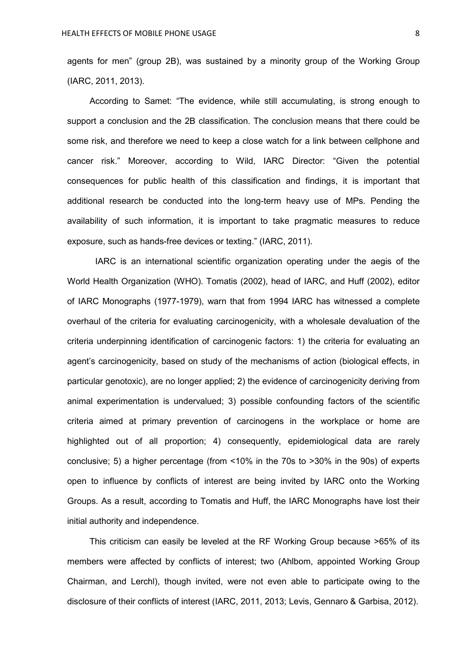agents for men" (group 2B), was sustained by a minority group of the Working Group (IARC, 2011, 2013).

According to Samet: "The evidence, while still accumulating, is strong enough to support a conclusion and the 2B classification. The conclusion means that there could be some risk, and therefore we need to keep a close watch for a link between cellphone and cancer risk." Moreover, according to Wild, IARC Director: "Given the potential consequences for public health of this classification and findings, it is important that additional research be conducted into the long-term heavy use of MPs. Pending the availability of such information, it is important to take pragmatic measures to reduce exposure, such as hands-free devices or texting." (IARC, 2011).

IARC is an international scientific organization operating under the aegis of the World Health Organization (WHO). Tomatis (2002), head of IARC, and Huff (2002), editor of IARC Monographs (1977-1979), warn that from 1994 IARC has witnessed a complete overhaul of the criteria for evaluating carcinogenicity, with a wholesale devaluation of the criteria underpinning identification of carcinogenic factors: 1) the criteria for evaluating an agent's carcinogenicity, based on study of the mechanisms of action (biological effects, in particular genotoxic), are no longer applied; 2) the evidence of carcinogenicity deriving from animal experimentation is undervalued; 3) possible confounding factors of the scientific criteria aimed at primary prevention of carcinogens in the workplace or home are highlighted out of all proportion; 4) consequently, epidemiological data are rarely conclusive; 5) a higher percentage (from <10% in the 70s to >30% in the 90s) of experts open to influence by conflicts of interest are being invited by IARC onto the Working Groups. As a result, according to Tomatis and Huff, the IARC Monographs have lost their initial authority and independence.

This criticism can easily be leveled at the RF Working Group because >65% of its members were affected by conflicts of interest; two (Ahlbom, appointed Working Group Chairman, and Lerchl), though invited, were not even able to participate owing to the disclosure of their conflicts of interest (IARC, 2011, 2013; Levis, Gennaro & Garbisa, 2012).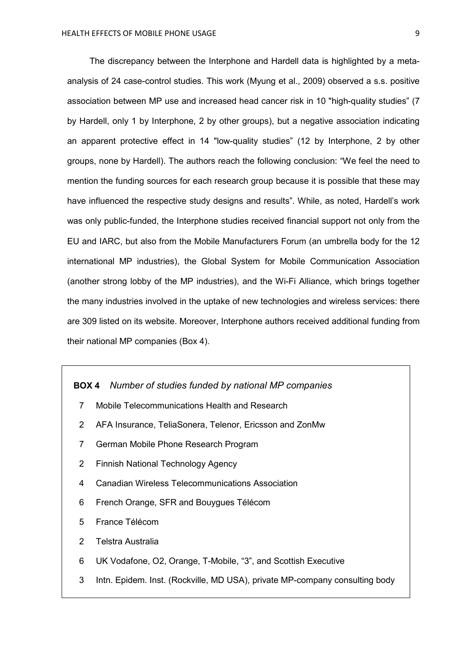The discrepancy between the Interphone and Hardell data is highlighted by a metaanalysis of 24 case-control studies. This work (Myung et al., 2009) observed a s.s. positive association between MP use and increased head cancer risk in 10 "high-quality studies" (7 by Hardell, only 1 by Interphone, 2 by other groups), but a negative association indicating an apparent protective effect in 14 "low-quality studies" (12 by Interphone, 2 by other groups, none by Hardell). The authors reach the following conclusion: "We feel the need to mention the funding sources for each research group because it is possible that these may have influenced the respective study designs and results". While, as noted, Hardell's work was only public-funded, the Interphone studies received financial support not only from the EU and IARC, but also from the Mobile Manufacturers Forum (an umbrella body for the 12 international MP industries), the Global System for Mobile Communication Association (another strong lobby of the MP industries), and the Wi-Fi Alliance, which brings together the many industries involved in the uptake of new technologies and wireless services: there are 309 listed on its website. Moreover, Interphone authors received additional funding from their national MP companies (Box 4).

## **BOX 4** *Number of studies funded by national MP companies*

- 7 Mobile Telecommunications Health and Research
- 2 AFA Insurance, TeliaSonera, Telenor, Ericsson and ZonMw
- 7 German Mobile Phone Research Program
- 2 Finnish National Technology Agency
- 4 Canadian Wireless Telecommunications Association
- 6 French Orange, SFR and Bouygues Télécom
- 5 France Télécom
- 2 Telstra Australia
- 6 UK Vodafone, O2, Orange, T-Mobile, "3", and Scottish Executive
- 3 Intn. Epidem. Inst. (Rockville, MD USA), private MP-company consulting body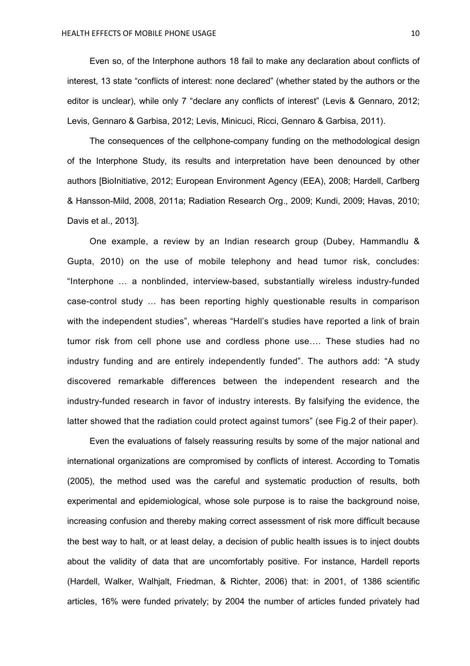Even so, of the Interphone authors 18 fail to make any declaration about conflicts of interest, 13 state "conflicts of interest: none declared" (whether stated by the authors or the editor is unclear), while only 7 "declare any conflicts of interest" (Levis & Gennaro, 2012; Levis, Gennaro & Garbisa, 2012; Levis, Minicuci, Ricci, Gennaro & Garbisa, 2011).

The consequences of the cellphone-company funding on the methodological design of the Interphone Study, its results and interpretation have been denounced by other authors [BioInitiative, 2012; European Environment Agency (EEA), 2008; Hardell, Carlberg & Hansson-Mild, 2008, 2011a; Radiation Research Org., 2009; Kundi, 2009; Havas, 2010; Davis et al., 2013].

One example, a review by an Indian research group (Dubey, Hammandlu & Gupta, 2010) on the use of mobile telephony and head tumor risk, concludes: "Interphone ... a nonblinded, interview-based, substantially wireless industry-funded case-control study ... has been reporting highly questionable results in comparison with the independent studies", whereas "Hardell's studies have reported a link of brain tumor risk from cell phone use and cordless phone use.... These studies had no industry funding and are entirely independently funded". The authors add: "A study discovered remarkable differences between the independent research and the industry-funded research in favor of industry interests. By falsifying the evidence, the latter showed that the radiation could protect against tumors" (see Fig.2 of their paper).

Even the evaluations of falsely reassuring results by some of the major national and international organizations are compromised by conflicts of interest. According to Tomatis (2005), the method used was the careful and systematic production of results, both experimental and epidemiological, whose sole purpose is to raise the background noise, increasing confusion and thereby making correct assessment of risk more difficult because the best way to halt, or at least delay, a decision of public health issues is to inject doubts about the validity of data that are uncomfortably positive. For instance, Hardell reports (Hardell, Walker, Walhjalt, Friedman, & Richter, 2006) that: in 2001, of 1386 scientific articles, 16% were funded privately; by 2004 the number of articles funded privately had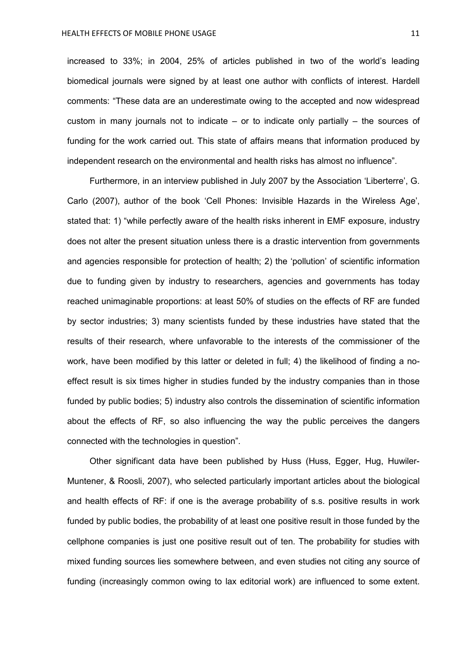increased to 33%; in 2004, 25% of articles published in two of the world's leading biomedical journals were signed by at least one author with conflicts of interest. Hardell comments: "These data are an underestimate owing to the accepted and now widespread custom in many journals not to indicate  $-$  or to indicate only partially  $-$  the sources of funding for the work carried out. This state of affairs means that information produced by independent research on the environmental and health risks has almost no influence".

Furthermore, in an interview published in July 2007 by the Association 'Liberterre', G. Carlo (2007), author of the book 'Cell Phones: Invisible Hazards in the Wireless Age', stated that: 1) "while perfectly aware of the health risks inherent in EMF exposure, industry does not alter the present situation unless there is a drastic intervention from governments and agencies responsible for protection of health; 2) the 'pollution' of scientific information due to funding given by industry to researchers, agencies and governments has today reached unimaginable proportions: at least 50% of studies on the effects of RF are funded by sector industries; 3) many scientists funded by these industries have stated that the results of their research, where unfavorable to the interests of the commissioner of the work, have been modified by this latter or deleted in full; 4) the likelihood of finding a noeffect result is six times higher in studies funded by the industry companies than in those funded by public bodies; 5) industry also controls the dissemination of scientific information about the effects of RF, so also influencing the way the public perceives the dangers connected with the technologies in question".

Other significant data have been published by Huss (Huss, Egger, Hug, Huwiler-Muntener, & Roosli, 2007), who selected particularly important articles about the biological and health effects of RF: if one is the average probability of s.s. positive results in work funded by public bodies, the probability of at least one positive result in those funded by the cellphone companies is just one positive result out of ten. The probability for studies with mixed funding sources lies somewhere between, and even studies not citing any source of funding (increasingly common owing to lax editorial work) are influenced to some extent.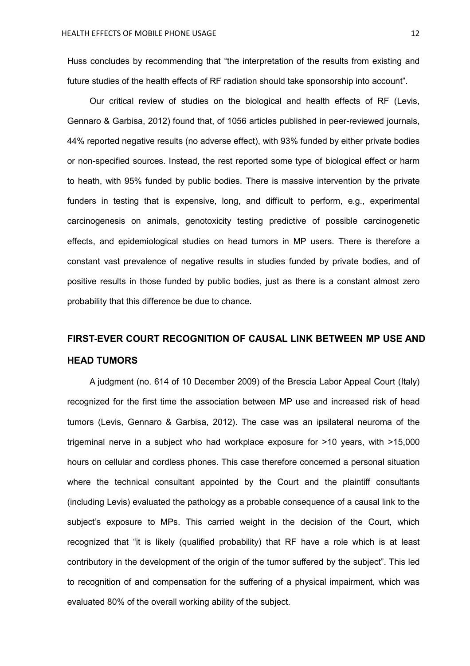Huss concludes by recommending that "the interpretation of the results from existing and future studies of the health effects of RF radiation should take sponsorship into account".

Our critical review of studies on the biological and health effects of RF (Levis, Gennaro & Garbisa, 2012) found that, of 1056 articles published in peer-reviewed journals, 44% reported negative results (no adverse effect), with 93% funded by either private bodies or non-specified sources. Instead, the rest reported some type of biological effect or harm to heath, with 95% funded by public bodies. There is massive intervention by the private funders in testing that is expensive, long, and difficult to perform, e.g., experimental carcinogenesis on animals, genotoxicity testing predictive of possible carcinogenetic effects, and epidemiological studies on head tumors in MP users. There is therefore a constant vast prevalence of negative results in studies funded by private bodies, and of positive results in those funded by public bodies, just as there is a constant almost zero probability that this difference be due to chance.

# **FIRST-EVER COURT RECOGNITION OF CAUSAL LINK BETWEEN MP USE AND HEAD TUMORS**

A judgment (no. 614 of 10 December 2009) of the Brescia Labor Appeal Court (Italy) recognized for the first time the association between MP use and increased risk of head tumors (Levis, Gennaro & Garbisa, 2012). The case was an ipsilateral neuroma of the trigeminal nerve in a subject who had workplace exposure for >10 years, with >15,000 hours on cellular and cordless phones. This case therefore concerned a personal situation where the technical consultant appointed by the Court and the plaintiff consultants (including Levis) evaluated the pathology as a probable consequence of a causal link to the subject's exposure to MPs. This carried weight in the decision of the Court, which recognized that "it is likely (qualified probability) that RF have a role which is at least contributory in the development of the origin of the tumor suffered by the subject". This led to recognition of and compensation for the suffering of a physical impairment, which was evaluated 80% of the overall working ability of the subject.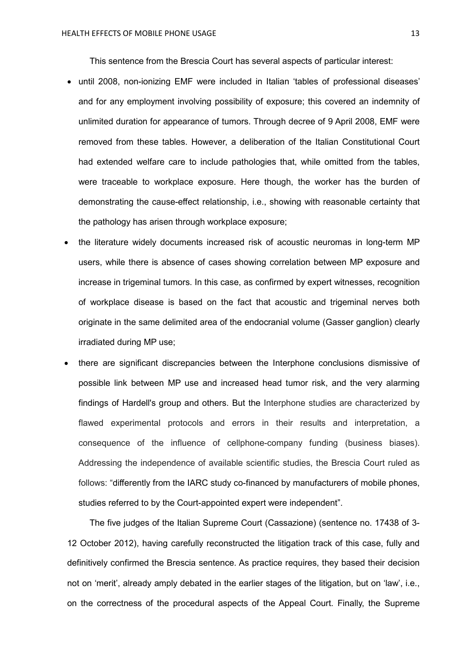This sentence from the Brescia Court has several aspects of particular interest:

- until 2008, non-ionizing EMF were included in Italian 'tables of professional diseases' and for any employment involving possibility of exposure; this covered an indemnity of unlimited duration for appearance of tumors. Through decree of 9 April 2008, EMF were removed from these tables. However, a deliberation of the Italian Constitutional Court had extended welfare care to include pathologies that, while omitted from the tables, were traceable to workplace exposure. Here though, the worker has the burden of demonstrating the cause-effect relationship, i.e., showing with reasonable certainty that the pathology has arisen through workplace exposure;
- the literature widely documents increased risk of acoustic neuromas in long-term MP users, while there is absence of cases showing correlation between MP exposure and increase in trigeminal tumors. In this case, as confirmed by expert witnesses, recognition of workplace disease is based on the fact that acoustic and trigeminal nerves both originate in the same delimited area of the endocranial volume (Gasser ganglion) clearly irradiated during MP use;
- there are significant discrepancies between the Interphone conclusions dismissive of possible link between MP use and increased head tumor risk, and the very alarming findings of Hardell's group and others. But the Interphone studies are characterized by flawed experimental protocols and errors in their results and interpretation, a consequence of the influence of cellphone-company funding (business biases). Addressing the independence of available scientific studies, the Brescia Court ruled as follows: "differently from the IARC study co-financed by manufacturers of mobile phones, studies referred to by the Court-appointed expert were independent".

The five judges of the Italian Supreme Court (Cassazione) (sentence no. 17438 of 3- 12 October 2012), having carefully reconstructed the litigation track of this case, fully and definitively confirmed the Brescia sentence. As practice requires, they based their decision not on 'merit', already amply debated in the earlier stages of the litigation, but on 'law', i.e., on the correctness of the procedural aspects of the Appeal Court. Finally, the Supreme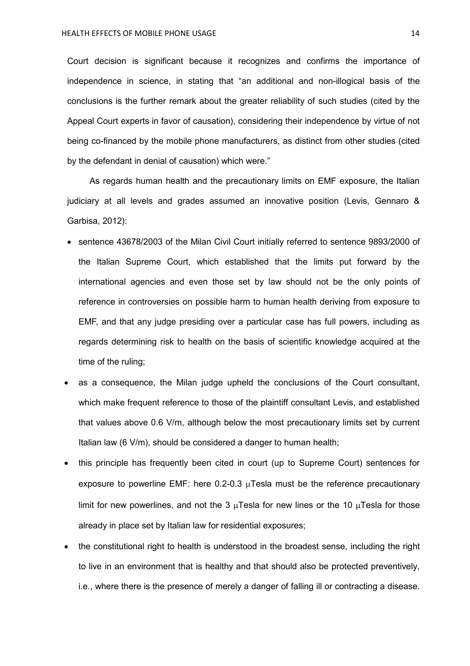Court decision is significant because it recognizes and confirms the importance of independence in science, in stating that "an additional and non-illogical basis of the conclusions is the further remark about the greater reliability of such studies (cited by the Appeal Court experts in favor of causation), considering their independence by virtue of not being co-financed by the mobile phone manufacturers, as distinct from other studies (cited by the defendant in denial of causation) which were."

As regards human health and the precautionary limits on EMF exposure, the Italian judiciary at all levels and grades assumed an innovative position (Levis, Gennaro & Garbisa, 2012):

- sentence 43678/2003 of the Milan Civil Court initially referred to sentence 9893/2000 of the Italian Supreme Court, which established that the limits put forward by the international agencies and even those set by law should not be the only points of reference in controversies on possible harm to human health deriving from exposure to EMF, and that any judge presiding over a particular case has full powers, including as regards determining risk to health on the basis of scientific knowledge acquired at the time of the ruling;
- as a consequence, the Milan judge upheld the conclusions of the Court consultant, which make frequent reference to those of the plaintiff consultant Levis, and established that values above 0.6 V/m, although below the most precautionary limits set by current Italian law (6 V/m), should be considered a danger to human health;
- this principle has frequently been cited in court (up to Supreme Court) sentences for exposure to powerline EMF: here  $0.2$ -0.3  $\mu$ Tesla must be the reference precautionary limit for new powerlines, and not the 3  $\mu$ Tesla for new lines or the 10  $\mu$ Tesla for those already in place set by Italian law for residential exposures;
- the constitutional right to health is understood in the broadest sense, including the right to live in an environment that is healthy and that should also be protected preventively, i.e., where there is the presence of merely a danger of falling ill or contracting a disease.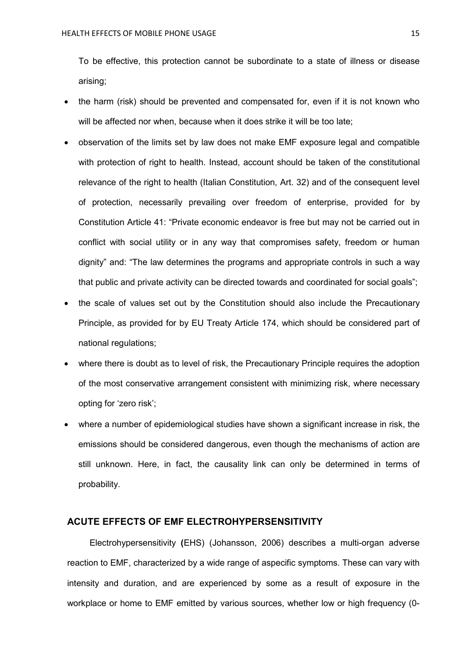To be effective, this protection cannot be subordinate to a state of illness or disease arising;

- the harm (risk) should be prevented and compensated for, even if it is not known who will be affected nor when, because when it does strike it will be too late;
- observation of the limits set by law does not make EMF exposure legal and compatible with protection of right to health. Instead, account should be taken of the constitutional relevance of the right to health (Italian Constitution, Art. 32) and of the consequent level of protection, necessarily prevailing over freedom of enterprise, provided for by Constitution Article 41: "Private economic endeavor is free but may not be carried out in conflict with social utility or in any way that compromises safety, freedom or human dignity" and: "The law determines the programs and appropriate controls in such a way that public and private activity can be directed towards and coordinated for social goals";
- the scale of values set out by the Constitution should also include the Precautionary Principle, as provided for by EU Treaty Article 174, which should be considered part of national regulations;
- where there is doubt as to level of risk, the Precautionary Principle requires the adoption of the most conservative arrangement consistent with minimizing risk, where necessary opting for 'zero risk';
- where a number of epidemiological studies have shown a significant increase in risk, the emissions should be considered dangerous, even though the mechanisms of action are still unknown. Here, in fact, the causality link can only be determined in terms of probability.

## **ACUTE EFFECTS OF EMF ELECTROHYPERSENSITIVITY**

Electrohypersensitivity **(**EHS) (Johansson, 2006) describes a multi-organ adverse reaction to EMF, characterized by a wide range of aspecific symptoms. These can vary with intensity and duration, and are experienced by some as a result of exposure in the workplace or home to EMF emitted by various sources, whether low or high frequency (0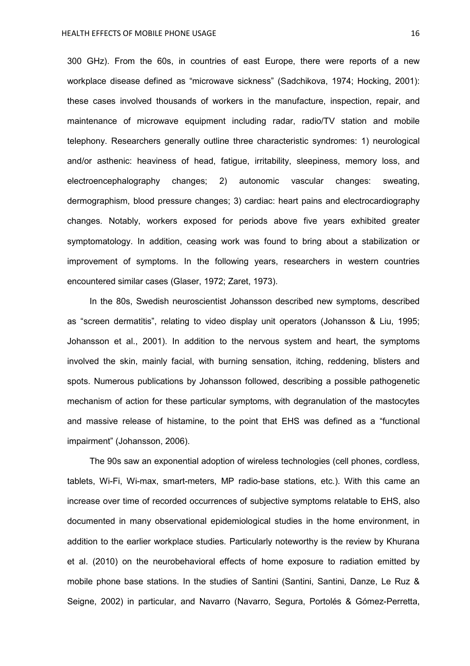300 GHz). From the 60s, in countries of east Europe, there were reports of a new workplace disease defined as "microwave sickness" (Sadchikova, 1974; Hocking, 2001): these cases involved thousands of workers in the manufacture, inspection, repair, and maintenance of microwave equipment including radar, radio/TV station and mobile telephony. Researchers generally outline three characteristic syndromes: 1) neurological and/or asthenic: heaviness of head, fatigue, irritability, sleepiness, memory loss, and electroencephalography changes; 2) autonomic vascular changes: sweating, dermographism, blood pressure changes; 3) cardiac: heart pains and electrocardiography changes. Notably, workers exposed for periods above five years exhibited greater symptomatology. In addition, ceasing work was found to bring about a stabilization or improvement of symptoms. In the following years, researchers in western countries encountered similar cases (Glaser, 1972; Zaret, 1973).

In the 80s, Swedish neuroscientist Johansson described new symptoms, described as "screen dermatitis", relating to video display unit operators (Johansson & Liu, 1995; Johansson et al., 2001). In addition to the nervous system and heart, the symptoms involved the skin, mainly facial, with burning sensation, itching, reddening, blisters and spots. Numerous publications by Johansson followed, describing a possible pathogenetic mechanism of action for these particular symptoms, with degranulation of the mastocytes and massive release of histamine, to the point that EHS was defined as a "functional impairment" (Johansson, 2006).

The 90s saw an exponential adoption of wireless technologies (cell phones, cordless, tablets, Wi-Fi, Wi-max, smart-meters, MP radio-base stations, etc.). With this came an increase over time of recorded occurrences of subjective symptoms relatable to EHS, also documented in many observational epidemiological studies in the home environment, in addition to the earlier workplace studies. Particularly noteworthy is the review by Khurana et al. (2010) on the neurobehavioral effects of home exposure to radiation emitted by mobile phone base stations. In the studies of Santini (Santini, Santini, Danze, Le Ruz & Seigne, 2002) in particular, and Navarro (Navarro, Segura, Portolés & Gómez-Perretta,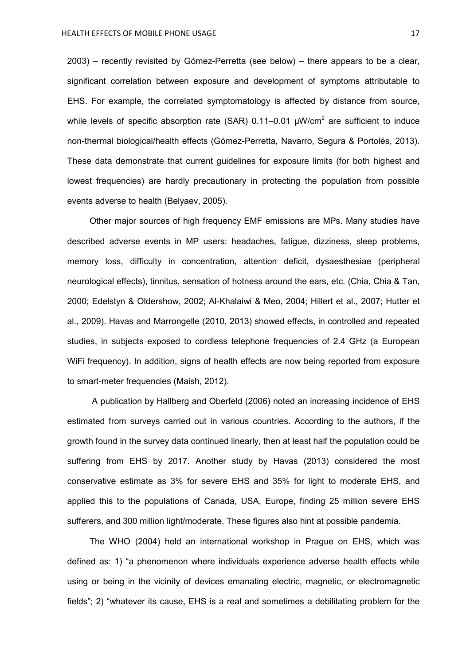2003) – recently revisited by Gómez-Perretta (see below) – there appears to be a clear, significant correlation between exposure and development of symptoms attributable to EHS. For example, the correlated symptomatology is affected by distance from source, while levels of specific absorption rate (SAR)  $0.11-0.01$   $\mu$ W/cm<sup>2</sup> are sufficient to induce non-thermal biological/health effects (Gómez-Perretta, Navarro, Segura & Portolés, 2013). These data demonstrate that current guidelines for exposure limits (for both highest and lowest frequencies) are hardly precautionary in protecting the population from possible events adverse to health (Belyaev, 2005).

Other major sources of high frequency EMF emissions are MPs. Many studies have described adverse events in MP users: headaches, fatigue, dizziness, sleep problems, memory loss, difficulty in concentration, attention deficit, dysaesthesiae (peripheral neurological effects), tinnitus, sensation of hotness around the ears, etc. (Chia, Chia & Tan, 2000; Edelstyn & Oldershow, 2002; Al-Khalaiwi & Meo, 2004; Hillert et al., 2007; Hutter et al., 2009). Havas and Marrongelle (2010, 2013) showed effects, in controlled and repeated studies, in subjects exposed to cordless telephone frequencies of 2.4 GHz (a European WiFi frequency). In addition, signs of health effects are now being reported from exposure to smart-meter frequencies (Maish, 2012).

 A publication by Hallberg and Oberfeld (2006) noted an increasing incidence of EHS estimated from surveys carried out in various countries. According to the authors, if the growth found in the survey data continued linearly, then at least half the population could be suffering from EHS by 2017. Another study by Havas (2013) considered the most conservative estimate as 3% for severe EHS and 35% for light to moderate EHS, and applied this to the populations of Canada, USA, Europe, finding 25 million severe EHS sufferers, and 300 million light/moderate. These figures also hint at possible pandemia.

The WHO (2004) held an international workshop in Prague on EHS, which was defined as: 1) "a phenomenon where individuals experience adverse health effects while using or being in the vicinity of devices emanating electric, magnetic, or electromagnetic fields"; 2) "whatever its cause, EHS is a real and sometimes a debilitating problem for the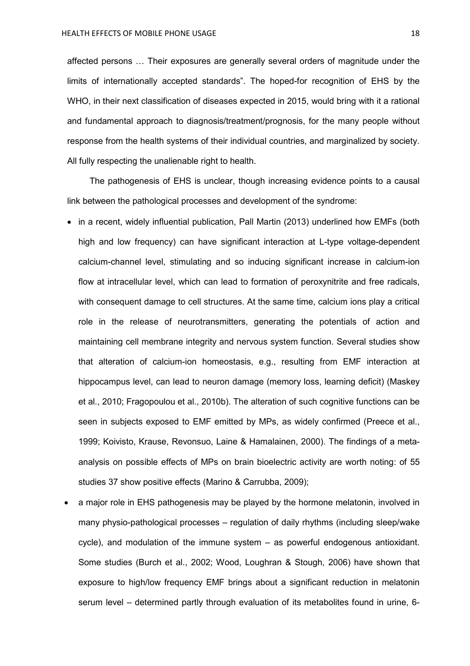affected persons ... Their exposures are generally several orders of magnitude under the limits of internationally accepted standards". The hoped-for recognition of EHS by the WHO, in their next classification of diseases expected in 2015, would bring with it a rational and fundamental approach to diagnosis/treatment/prognosis, for the many people without response from the health systems of their individual countries, and marginalized by society. All fully respecting the unalienable right to health.

The pathogenesis of EHS is unclear, though increasing evidence points to a causal link between the pathological processes and development of the syndrome:

- in a recent, widely influential publication, Pall Martin (2013) underlined how EMFs (both high and low frequency) can have significant interaction at L-type voltage-dependent calcium-channel level, stimulating and so inducing significant increase in calcium-ion flow at intracellular level, which can lead to formation of peroxynitrite and free radicals, with consequent damage to cell structures. At the same time, calcium ions play a critical role in the release of neurotransmitters, generating the potentials of action and maintaining cell membrane integrity and nervous system function. Several studies show that alteration of calcium-ion homeostasis, e.g., resulting from EMF interaction at hippocampus level, can lead to neuron damage (memory loss, learning deficit) (Maskey et al., 2010; Fragopoulou et al., 2010b). The alteration of such cognitive functions can be seen in subjects exposed to EMF emitted by MPs, as widely confirmed (Preece et al., 1999; Koivisto, Krause, Revonsuo, Laine & Hamalainen, 2000). The findings of a metaanalysis on possible effects of MPs on brain bioelectric activity are worth noting: of 55 studies 37 show positive effects (Marino & Carrubba, 2009);
- a major role in EHS pathogenesis may be played by the hormone melatonin, involved in many physio-pathological processes – regulation of daily rhythms (including sleep/wake cycle), and modulation of the immune system – as powerful endogenous antioxidant. Some studies (Burch et al., 2002; Wood, Loughran & Stough, 2006) have shown that exposure to high/low frequency EMF brings about a significant reduction in melatonin serum level – determined partly through evaluation of its metabolites found in urine, 6-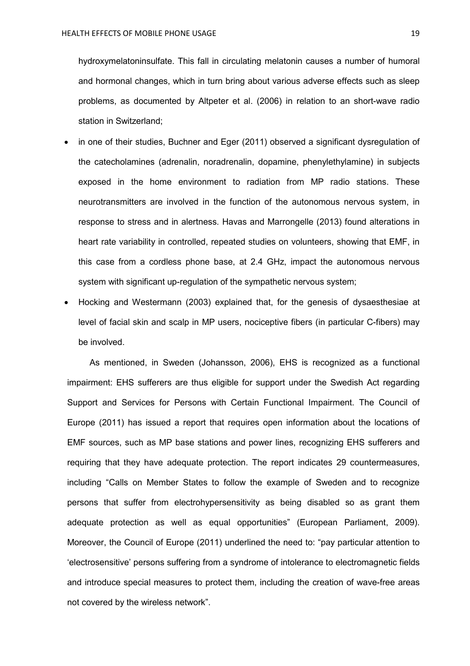hydroxymelatoninsulfate. This fall in circulating melatonin causes a number of humoral and hormonal changes, which in turn bring about various adverse effects such as sleep problems, as documented by Altpeter et al. (2006) in relation to an short-wave radio station in Switzerland;

- in one of their studies, Buchner and Eger (2011) observed a significant dysregulation of the catecholamines (adrenalin, noradrenalin, dopamine, phenylethylamine) in subjects exposed in the home environment to radiation from MP radio stations. These neurotransmitters are involved in the function of the autonomous nervous system, in response to stress and in alertness. Havas and Marrongelle (2013) found alterations in heart rate variability in controlled, repeated studies on volunteers, showing that EMF, in this case from a cordless phone base, at 2.4 GHz, impact the autonomous nervous system with significant up-regulation of the sympathetic nervous system;
- Hocking and Westermann (2003) explained that, for the genesis of dysaesthesiae at level of facial skin and scalp in MP users, nociceptive fibers (in particular C-fibers) may be involved.

As mentioned, in Sweden (Johansson, 2006), EHS is recognized as a functional impairment: EHS sufferers are thus eligible for support under the Swedish Act regarding Support and Services for Persons with Certain Functional Impairment. The Council of Europe (2011) has issued a report that requires open information about the locations of EMF sources, such as MP base stations and power lines, recognizing EHS sufferers and requiring that they have adequate protection. The report indicates 29 countermeasures, including "Calls on Member States to follow the example of Sweden and to recognize persons that suffer from electrohypersensitivity as being disabled so as grant them adequate protection as well as equal opportunities" (European Parliament, 2009). Moreover, the Council of Europe (2011) underlined the need to: "pay particular attention to 'electrosensitive' persons suffering from a syndrome of intolerance to electromagnetic fields and introduce special measures to protect them, including the creation of wave-free areas not covered by the wireless network".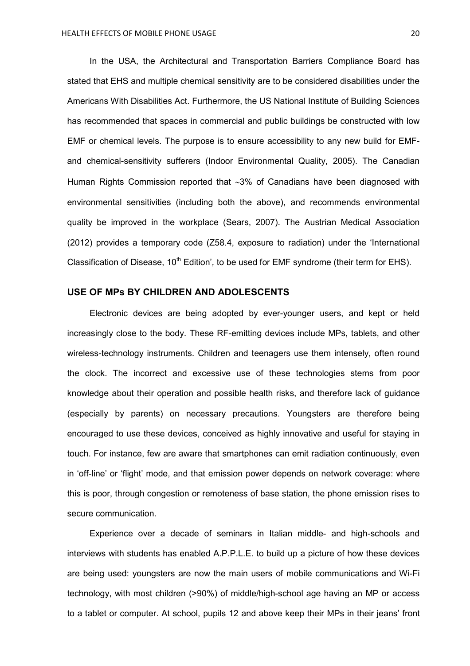In the USA, the Architectural and Transportation Barriers Compliance Board has stated that EHS and multiple chemical sensitivity are to be considered disabilities under the Americans With Disabilities Act. Furthermore, the US National Institute of Building Sciences has recommended that spaces in commercial and public buildings be constructed with low EMF or chemical levels. The purpose is to ensure accessibility to any new build for EMFand chemical-sensitivity sufferers (Indoor Environmental Quality, 2005). The Canadian Human Rights Commission reported that ~3% of Canadians have been diagnosed with environmental sensitivities (including both the above), and recommends environmental quality be improved in the workplace (Sears, 2007). The Austrian Medical Association (2012) provides a temporary code (Z58.4, exposure to radiation) under the 'International Classification of Disease, 10<sup>th</sup> Edition', to be used for EMF syndrome (their term for EHS).

## **USE OF MPs BY CHILDREN AND ADOLESCENTS**

Electronic devices are being adopted by ever-younger users, and kept or held increasingly close to the body. These RF-emitting devices include MPs, tablets, and other wireless-technology instruments. Children and teenagers use them intensely, often round the clock. The incorrect and excessive use of these technologies stems from poor knowledge about their operation and possible health risks, and therefore lack of guidance (especially by parents) on necessary precautions. Youngsters are therefore being encouraged to use these devices, conceived as highly innovative and useful for staying in touch. For instance, few are aware that smartphones can emit radiation continuously, even in 'off-line' or 'flight' mode, and that emission power depends on network coverage: where this is poor, through congestion or remoteness of base station, the phone emission rises to secure communication.

Experience over a decade of seminars in Italian middle- and high-schools and interviews with students has enabled A.P.P.L.E. to build up a picture of how these devices are being used: youngsters are now the main users of mobile communications and Wi-Fi technology, with most children (>90%) of middle/high-school age having an MP or access to a tablet or computer. At school, pupils 12 and above keep their MPs in their jeans' front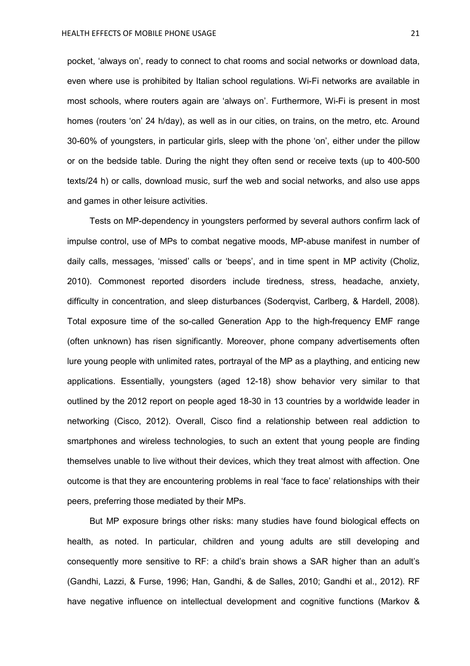pocket, 'always on', ready to connect to chat rooms and social networks or download data, even where use is prohibited by Italian school regulations. Wi-Fi networks are available in most schools, where routers again are 'always on'. Furthermore, Wi-Fi is present in most homes (routers 'on' 24 h/day), as well as in our cities, on trains, on the metro, etc. Around 30-60% of youngsters, in particular girls, sleep with the phone 'on', either under the pillow or on the bedside table. During the night they often send or receive texts (up to 400-500 texts/24 h) or calls, download music, surf the web and social networks, and also use apps and games in other leisure activities.

Tests on MP-dependency in youngsters performed by several authors confirm lack of impulse control, use of MPs to combat negative moods, MP-abuse manifest in number of daily calls, messages, 'missed' calls or 'beeps', and in time spent in MP activity (Choliz, 2010). Commonest reported disorders include tiredness, stress, headache, anxiety, difficulty in concentration, and sleep disturbances (Soderqvist, Carlberg, & Hardell, 2008). Total exposure time of the so-called Generation App to the high-frequency EMF range (often unknown) has risen significantly. Moreover, phone company advertisements often lure young people with unlimited rates, portrayal of the MP as a plaything, and enticing new applications. Essentially, youngsters (aged 12-18) show behavior very similar to that outlined by the 2012 report on people aged 18-30 in 13 countries by a worldwide leader in networking (Cisco, 2012). Overall, Cisco find a relationship between real addiction to smartphones and wireless technologies, to such an extent that young people are finding themselves unable to live without their devices, which they treat almost with affection. One outcome is that they are encountering problems in real 'face to face' relationships with their peers, preferring those mediated by their MPs.

But MP exposure brings other risks: many studies have found biological effects on health, as noted. In particular, children and young adults are still developing and consequently more sensitive to RF: a child's brain shows a SAR higher than an adult's (Gandhi, Lazzi, & Furse, 1996; Han, Gandhi, & de Salles, 2010; Gandhi et al., 2012). RF have negative influence on intellectual development and cognitive functions (Markov &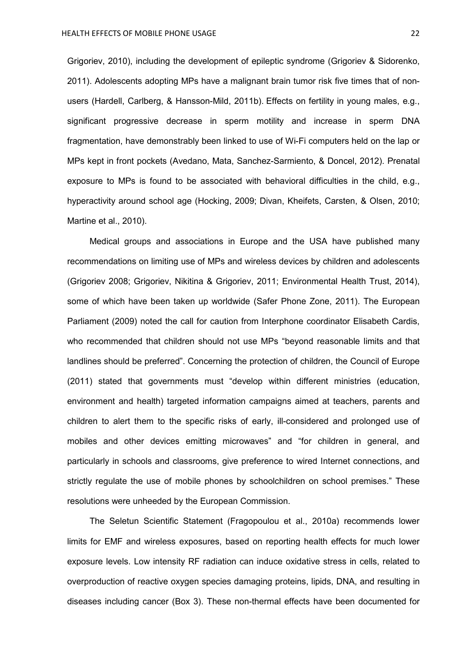Grigoriev, 2010), including the development of epileptic syndrome (Grigoriev & Sidorenko, 2011). Adolescents adopting MPs have a malignant brain tumor risk five times that of nonusers (Hardell, Carlberg, & Hansson-Mild, 2011b). Effects on fertility in young males, e.g., significant progressive decrease in sperm motility and increase in sperm DNA fragmentation, have demonstrably been linked to use of Wi-Fi computers held on the lap or MPs kept in front pockets (Avedano, Mata, Sanchez-Sarmiento, & Doncel, 2012). Prenatal exposure to MPs is found to be associated with behavioral difficulties in the child, e.g., hyperactivity around school age (Hocking, 2009; Divan, Kheifets, Carsten, & Olsen, 2010; Martine et al., 2010).

Medical groups and associations in Europe and the USA have published many recommendations on limiting use of MPs and wireless devices by children and adolescents (Grigoriev 2008; Grigoriev, Nikitina & Grigoriev, 2011; Environmental Health Trust, 2014), some of which have been taken up worldwide (Safer Phone Zone, 2011). The European Parliament (2009) noted the call for caution from Interphone coordinator Elisabeth Cardis, who recommended that children should not use MPs "beyond reasonable limits and that landlines should be preferred". Concerning the protection of children, the Council of Europe (2011) stated that governments must "develop within different ministries (education, environment and health) targeted information campaigns aimed at teachers, parents and children to alert them to the specific risks of early, ill-considered and prolonged use of mobiles and other devices emitting microwaves" and "for children in general, and particularly in schools and classrooms, give preference to wired Internet connections, and strictly regulate the use of mobile phones by schoolchildren on school premises." These resolutions were unheeded by the European Commission.

The Seletun Scientific Statement (Fragopoulou et al., 2010a) recommends lower limits for EMF and wireless exposures, based on reporting health effects for much lower exposure levels. Low intensity RF radiation can induce oxidative stress in cells, related to overproduction of reactive oxygen species damaging proteins, lipids, DNA, and resulting in diseases including cancer (Box 3). These non-thermal effects have been documented for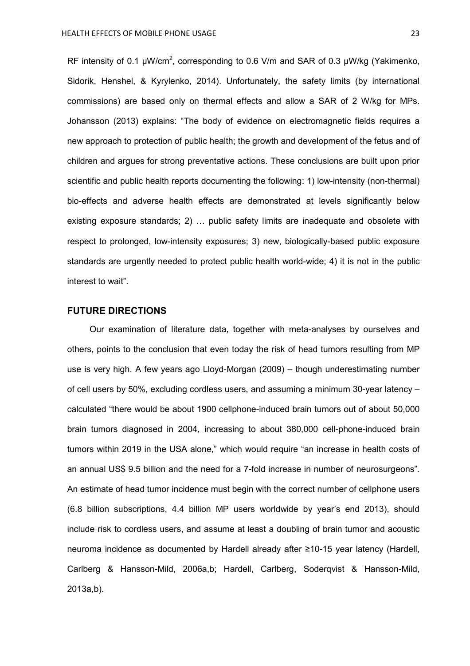RF intensity of 0.1  $\mu$ W/cm<sup>2</sup>, corresponding to 0.6 V/m and SAR of 0.3  $\mu$ W/kg (Yakimenko, Sidorik, Henshel, & Kyrylenko, 2014). Unfortunately, the safety limits (by international commissions) are based only on thermal effects and allow a SAR of 2 W/kg for MPs. Johansson (2013) explains: "The body of evidence on electromagnetic fields requires a new approach to protection of public health; the growth and development of the fetus and of children and argues for strong preventative actions. These conclusions are built upon prior scientific and public health reports documenting the following: 1) low-intensity (non-thermal) bio-effects and adverse health effects are demonstrated at levels significantly below existing exposure standards;  $2)$   $\ldots$  public safety limits are inadequate and obsolete with respect to prolonged, low-intensity exposures; 3) new, biologically-based public exposure standards are urgently needed to protect public health world-wide; 4) it is not in the public interest to wait".

### **FUTURE DIRECTIONS**

Our examination of literature data, together with meta-analyses by ourselves and others, points to the conclusion that even today the risk of head tumors resulting from MP use is very high. A few years ago Lloyd-Morgan (2009) – though underestimating number of cell users by 50%, excluding cordless users, and assuming a minimum 30-year latency – calculated "there would be about 1900 cellphone-induced brain tumors out of about 50,000 brain tumors diagnosed in 2004, increasing to about 380,000 cell-phone-induced brain tumors within 2019 in the USA alone," which would require "an increase in health costs of an annual US\$ 9.5 billion and the need for a 7-fold increase in number of neurosurgeons". An estimate of head tumor incidence must begin with the correct number of cellphone users (6.8 billion subscriptions, 4.4 billion MP users worldwide by year's end 2013), should include risk to cordless users, and assume at least a doubling of brain tumor and acoustic neuroma incidence as documented by Hardell already after ≥10-15 year latency (Hardell, Carlberg & Hansson-Mild, 2006a,b; Hardell, Carlberg, Soderqvist & Hansson-Mild, 2013a,b).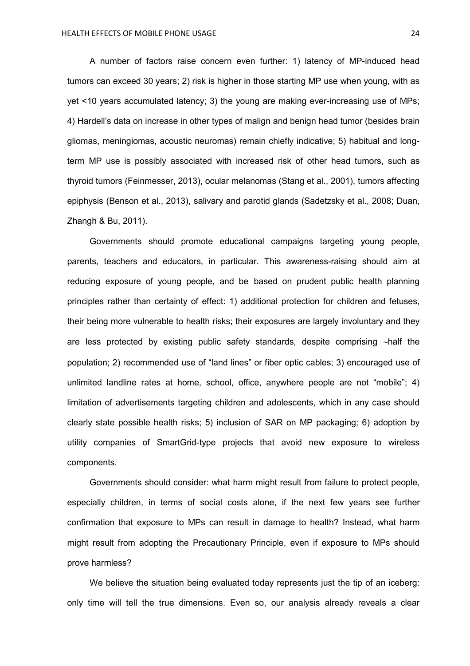A number of factors raise concern even further: 1) latency of MP-induced head tumors can exceed 30 years; 2) risk is higher in those starting MP use when young, with as yet <10 years accumulated latency; 3) the young are making ever-increasing use of MPs; 4) Hardell's data on increase in other types of malign and benign head tumor (besides brain gliomas, meningiomas, acoustic neuromas) remain chiefly indicative; 5) habitual and longterm MP use is possibly associated with increased risk of other head tumors, such as thyroid tumors (Feinmesser, 2013), ocular melanomas (Stang et al., 2001), tumors affecting epiphysis (Benson et al., 2013), salivary and parotid glands (Sadetzsky et al., 2008; Duan, Zhangh & Bu, 2011).

Governments should promote educational campaigns targeting young people, parents, teachers and educators, in particular. This awareness-raising should aim at reducing exposure of young people, and be based on prudent public health planning principles rather than certainty of effect: 1) additional protection for children and fetuses, their being more vulnerable to health risks; their exposures are largely involuntary and they are less protected by existing public safety standards, despite comprising ∼half the population; 2) recommended use of "land lines" or fiber optic cables; 3) encouraged use of unlimited landline rates at home, school, office, anywhere people are not "mobile"; 4) limitation of advertisements targeting children and adolescents, which in any case should clearly state possible health risks; 5) inclusion of SAR on MP packaging; 6) adoption by utility companies of SmartGrid-type projects that avoid new exposure to wireless components.

Governments should consider: what harm might result from failure to protect people, especially children, in terms of social costs alone, if the next few years see further confirmation that exposure to MPs can result in damage to health? Instead, what harm might result from adopting the Precautionary Principle, even if exposure to MPs should prove harmless?

We believe the situation being evaluated today represents just the tip of an iceberg: only time will tell the true dimensions. Even so, our analysis already reveals a clear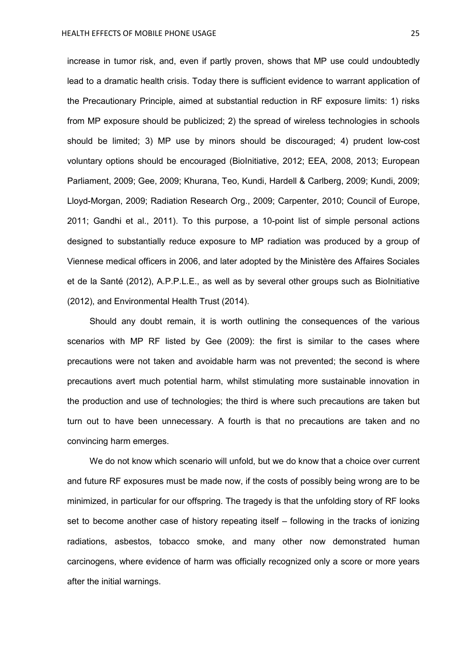increase in tumor risk, and, even if partly proven, shows that MP use could undoubtedly lead to a dramatic health crisis. Today there is sufficient evidence to warrant application of the Precautionary Principle, aimed at substantial reduction in RF exposure limits: 1) risks from MP exposure should be publicized; 2) the spread of wireless technologies in schools should be limited; 3) MP use by minors should be discouraged; 4) prudent low-cost voluntary options should be encouraged (BioInitiative, 2012; EEA, 2008, 2013; European Parliament, 2009; Gee, 2009; Khurana, Teo, Kundi, Hardell & Carlberg, 2009; Kundi, 2009; Lloyd-Morgan, 2009; Radiation Research Org., 2009; Carpenter, 2010; Council of Europe, 2011; Gandhi et al., 2011). To this purpose, a 10-point list of simple personal actions designed to substantially reduce exposure to MP radiation was produced by a group of Viennese medical officers in 2006, and later adopted by the Ministère des Affaires Sociales et de la Santé (2012), A.P.P.L.E., as well as by several other groups such as BioInitiative (2012), and Environmental Health Trust (2014).

Should any doubt remain, it is worth outlining the consequences of the various scenarios with MP RF listed by Gee (2009): the first is similar to the cases where precautions were not taken and avoidable harm was not prevented; the second is where precautions avert much potential harm, whilst stimulating more sustainable innovation in the production and use of technologies; the third is where such precautions are taken but turn out to have been unnecessary. A fourth is that no precautions are taken and no convincing harm emerges.

We do not know which scenario will unfold, but we do know that a choice over current and future RF exposures must be made now, if the costs of possibly being wrong are to be minimized, in particular for our offspring. The tragedy is that the unfolding story of RF looks set to become another case of history repeating itself – following in the tracks of ionizing radiations, asbestos, tobacco smoke, and many other now demonstrated human carcinogens, where evidence of harm was officially recognized only a score or more years after the initial warnings.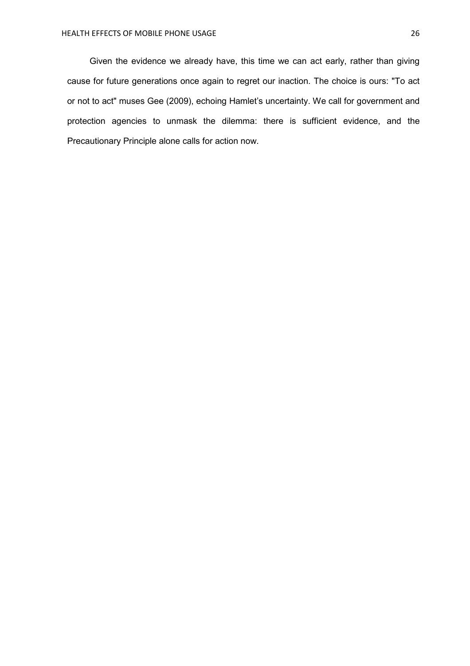Given the evidence we already have, this time we can act early, rather than giving cause for future generations once again to regret our inaction. The choice is ours: "To act or not to act" muses Gee (2009), echoing Hamlet's uncertainty. We call for government and protection agencies to unmask the dilemma: there is sufficient evidence, and the Precautionary Principle alone calls for action now.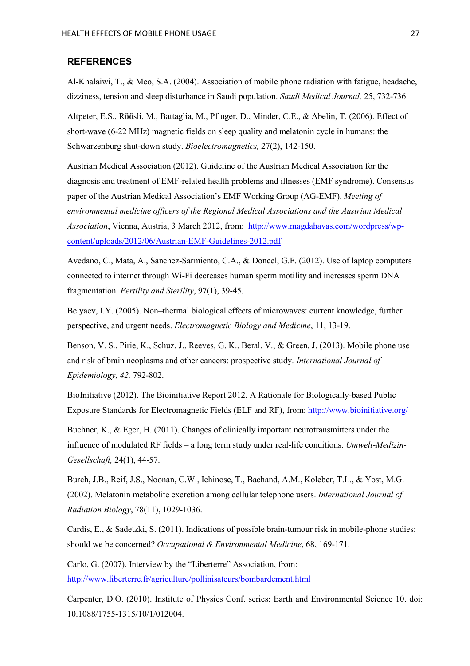#### **REFERENCES**

Al-Khalaiwi, T., & Meo, S.A. (2004). Association of mobile phone radiation with fatigue, headache, dizziness, tension and sleep disturbance in Saudi population. *Saudi Medical Journal,* 25, 732-736.

Altpeter, E.S., R**öö**sli, M., Battaglia, M., Pfluger, D., Minder, C.E., & Abelin, T. (2006). Effect of short-wave (6-22 MHz) magnetic fields on sleep quality and melatonin cycle in humans: the Schwarzenburg shut-down study. *Bioelectromagnetics,* 27(2), 142-150.

Austrian Medical Association (2012). Guideline of the Austrian Medical Association for the diagnosis and treatment of EMF-related health problems and illnesses (EMF syndrome). Consensus paper of the Austrian Medical Association's EMF Working Group (AG-EMF). *Meeting of environmental medicine officers of the Regional Medical Associations and the Austrian Medical Association*, Vienna, Austria, 3 March 2012, from: http://www.magdahavas.com/wordpress/wpcontent/uploads/2012/06/Austrian-EMF-Guidelines-2012.pdf

Avedano, C., Mata, A., Sanchez-Sarmiento, C.A., & Doncel, G.F. (2012). Use of laptop computers connected to internet through Wi-Fi decreases human sperm motility and increases sperm DNA fragmentation. *Fertility and Sterility*, 97(1), 39-45.

Belyaev, I.Y. (2005). Non–thermal biological effects of microwaves: current knowledge, further perspective, and urgent needs. *Electromagnetic Biology and Medicine*, 11, 13-19.

Benson, V. S., Pirie, K., Schuz, J., Reeves, G. K., Beral, V., & Green, J. (2013). Mobile phone use and risk of brain neoplasms and other cancers: prospective study. *International Journal of Epidemiology, 42,* 792-802.

BioInitiative (2012). The Bioinitiative Report 2012. A Rationale for Biologically-based Public Exposure Standards for Electromagnetic Fields (ELF and RF), from: http://www.bioinitiative.org/

Buchner, K., & Eger, H. (2011). Changes of clinically important neurotransmitters under the influence of modulated RF fields – a long term study under real-life conditions. *Umwelt-Medizin-Gesellschaft,* 24(1), 44-57.

Burch, J.B., Reif, J.S., Noonan, C.W., Ichinose, T., Bachand, A.M., Koleber, T.L., & Yost, M.G. (2002). Melatonin metabolite excretion among cellular telephone users. *International Journal of Radiation Biology*, 78(11), 1029-1036.

Cardis, E., & Sadetzki, S. (2011). Indications of possible brain-tumour risk in mobile-phone studies: should we be concerned? *Occupational & Environmental Medicine*, 68, 169-171.

Carlo, G. (2007). Interview by the "Liberterre" Association, from: http://www.liberterre.fr/agriculture/pollinisateurs/bombardement.html

Carpenter, D.O. (2010). Institute of Physics Conf. series: Earth and Environmental Science 10. doi: 10.1088/1755-1315/10/1/012004.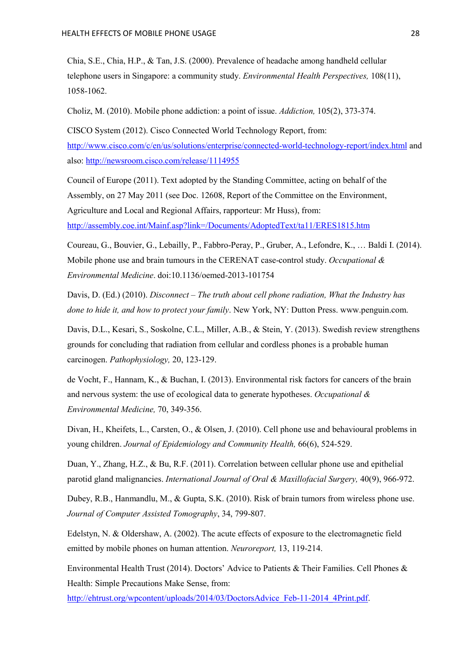Chia, S.E., Chia, H.P., & Tan, J.S. (2000). Prevalence of headache among handheld cellular telephone users in Singapore: a community study. *Environmental Health Perspectives,* 108(11), 1058-1062.

Choliz, M. (2010). Mobile phone addiction: a point of issue. *Addiction,* 105(2), 373-374.

CISCO System (2012). Cisco Connected World Technology Report, from: http://www.cisco.com/c/en/us/solutions/enterprise/connected-world-technology-report/index.html and also: http://newsroom.cisco.com/release/1114955

Council of Europe (2011). Text adopted by the Standing Committee, acting on behalf of the Assembly, on 27 May 2011 (see Doc. 12608, Report of the Committee on the Environment, Agriculture and Local and Regional Affairs, rapporteur: Mr Huss), from: http://assembly.coe.int/Mainf.asp?link=/Documents/AdoptedText/ta11/ERES1815.htm

Coureau, G., Bouvier, G., Lebailly, P., Fabbro-Peray, P., Gruber, A., Lefondre, K., … Baldi I. (2014). Mobile phone use and brain tumours in the CERENAT case-control study. *Occupational & Environmental Medicine*. doi:10.1136/oemed-2013-101754

Davis, D. (Ed.) (2010). *Disconnect – The truth about cell phone radiation, What the Industry has done to hide it, and how to protect your family*. New York, NY: Dutton Press. www.penguin.com.

Davis, D.L., Kesari, S., Soskolne, C.L., Miller, A.B., & Stein, Y. (2013). Swedish review strengthens grounds for concluding that radiation from cellular and cordless phones is a probable human carcinogen. *Pathophysiology,* 20, 123-129.

de Vocht, F., Hannam, K., & Buchan, I. (2013). Environmental risk factors for cancers of the brain and nervous system: the use of ecological data to generate hypotheses. *Occupational & Environmental Medicine,* 70, 349-356.

Divan, H., Kheifets, L., Carsten, O., & Olsen, J. (2010). Cell phone use and behavioural problems in young children. *Journal of Epidemiology and Community Health,* 66(6), 524-529.

Duan, Y., Zhang, H.Z., & Bu, R.F. (2011). Correlation between cellular phone use and epithelial parotid gland malignancies. *International Journal of Oral & Maxillofacial Surgery,* 40(9), 966-972.

Dubey, R.B., Hanmandlu, M., & Gupta, S.K. (2010). Risk of brain tumors from wireless phone use. *Journal of Computer Assisted Tomography*, 34, 799-807.

Edelstyn, N. & Oldershaw, A. (2002). The acute effects of exposure to the electromagnetic field emitted by mobile phones on human attention. *Neuroreport*, 13, 119-214.

Environmental Health Trust (2014). Doctors' Advice to Patients  $\&$  Their Families. Cell Phones  $\&$ Health: Simple Precautions Make Sense, from:

http://ehtrust.org/wpcontent/uploads/2014/03/DoctorsAdvice\_Feb-11-2014\_4Print.pdf.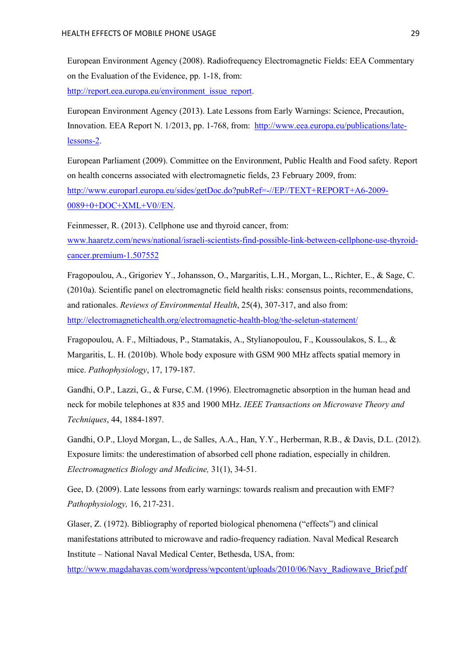European Environment Agency (2008). Radiofrequency Electromagnetic Fields: EEA Commentary on the Evaluation of the Evidence, pp. 1-18, from:

http://report.eea.europa.eu/environment\_issue\_report.

European Environment Agency (2013). Late Lessons from Early Warnings: Science, Precaution, Innovation. EEA Report N. 1/2013, pp. 1-768, from: http://www.eea.europa.eu/publications/latelessons-2.

European Parliament (2009). Committee on the Environment, Public Health and Food safety. Report on health concerns associated with electromagnetic fields, 23 February 2009, from: http://www.europarl.europa.eu/sides/getDoc.do?pubRef=-//EP//TEXT+REPORT+A6-2009- 0089+0+DOC+XML+V0//EN.

Feinmesser, R. (2013). Cellphone use and thyroid cancer, from: www.haaretz.com/news/national/israeli-scientists-find-possible-link-between-cellphone-use-thyroidcancer.premium-1.507552

Fragopoulou, A., Grigoriev Y., Johansson, O., Margaritis, L.H., Morgan, L., Richter, E., & Sage, C. (2010a). Scientific panel on electromagnetic field health risks: consensus points, recommendations, and rationales. *Reviews of Environmental Health*, 25(4), 307-317, and also from: http://electromagnetichealth.org/electromagnetic-health-blog/the-seletun-statement/

Fragopoulou, A. F., Miltiadous, P., Stamatakis, A., Stylianopoulou, F., Koussoulakos, S. L., & Margaritis, L. H. (2010b). Whole body exposure with GSM 900 MHz affects spatial memory in mice. *Pathophysiology*, 17, 179-187.

Gandhi, O.P., Lazzi, G., & Furse, C.M. (1996). Electromagnetic absorption in the human head and neck for mobile telephones at 835 and 1900 MHz. *IEEE Transactions on Microwave Theory and Techniques*, 44, 1884-1897.

Gandhi, O.P., Lloyd Morgan, L., de Salles, A.A., Han, Y.Y., Herberman, R.B., & Davis, D.L. (2012). Exposure limits: the underestimation of absorbed cell phone radiation, especially in children. *Electromagnetics Biology and Medicine,* 31(1), 34-51.

Gee, D. (2009). Late lessons from early warnings: towards realism and precaution with EMF? *Pathophysiology,* 16, 217-231.

Glaser, Z. (1972). Bibliography of reported biological phenomena ("effects") and clinical manifestations attributed to microwave and radio-frequency radiation. Naval Medical Research Institute – National Naval Medical Center, Bethesda, USA, from:

http://www.magdahavas.com/wordpress/wpcontent/uploads/2010/06/Navy\_Radiowave\_Brief.pdf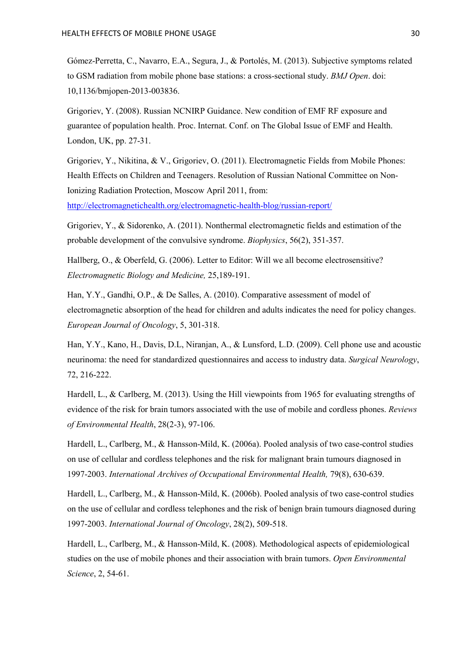Gómez-Perretta, C., Navarro, E.A., Segura, J., & Portolés, M. (2013). Subjective symptoms related to GSM radiation from mobile phone base stations: a cross-sectional study. *BMJ Open*. doi: 10,1136/bmjopen-2013-003836.

Grigoriev, Y. (2008). Russian NCNIRP Guidance. New condition of EMF RF exposure and guarantee of population health. Proc. Internat. Conf. on The Global Issue of EMF and Health. London, UK, pp. 27-31.

Grigoriev, Y., Nikitina, & V., Grigoriev, O. (2011). Electromagnetic Fields from Mobile Phones: Health Effects on Children and Teenagers. Resolution of Russian National Committee on Non-Ionizing Radiation Protection, Moscow April 2011, from:

http://electromagnetichealth.org/electromagnetic-health-blog/russian-report/

Grigoriev, Y., & Sidorenko, A. (2011). Nonthermal electromagnetic fields and estimation of the probable development of the convulsive syndrome. *Biophysics*, 56(2), 351-357.

Hallberg, O., & Oberfeld, G. (2006). Letter to Editor: Will we all become electrosensitive? *Electromagnetic Biology and Medicine,* 25,189-191.

Han, Y.Y., Gandhi, O.P., & De Salles, A. (2010). Comparative assessment of model of electromagnetic absorption of the head for children and adults indicates the need for policy changes. *European Journal of Oncology*, 5, 301-318.

Han, Y.Y., Kano, H., Davis, D.L, Niranjan, A., & Lunsford, L.D. (2009). Cell phone use and acoustic neurinoma: the need for standardized questionnaires and access to industry data. *Surgical 7eurology*, 72, 216-222.

Hardell, L., & Carlberg, M. (2013). Using the Hill viewpoints from 1965 for evaluating strengths of evidence of the risk for brain tumors associated with the use of mobile and cordless phones. *Reviews of Environmental Health*, 28(2-3), 97-106.

Hardell, L., Carlberg, M., & Hansson-Mild, K. (2006a). Pooled analysis of two case-control studies on use of cellular and cordless telephones and the risk for malignant brain tumours diagnosed in 1997-2003. *International Archives of Occupational Environmental Health,* 79(8), 630-639.

Hardell, L., Carlberg, M., & Hansson-Mild, K. (2006b). Pooled analysis of two case-control studies on the use of cellular and cordless telephones and the risk of benign brain tumours diagnosed during 1997-2003. *International Journal of Oncology*, 28(2), 509-518.

Hardell, L., Carlberg, M., & Hansson-Mild, K. (2008). Methodological aspects of epidemiological studies on the use of mobile phones and their association with brain tumors. *Open Environmental Science*, 2, 54-61.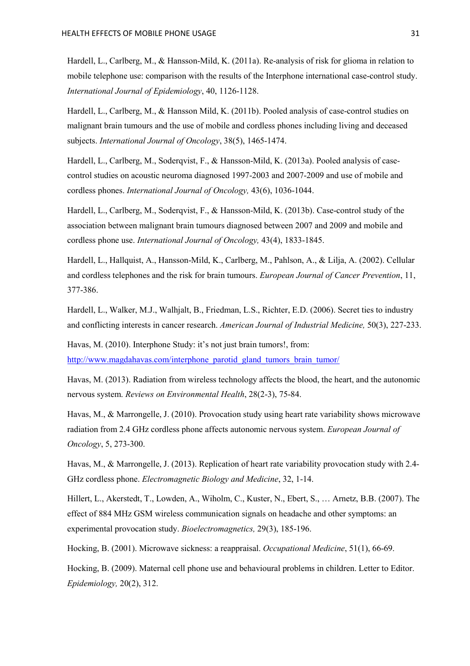Hardell, L., Carlberg, M., & Hansson-Mild, K. (2011a). Re-analysis of risk for glioma in relation to mobile telephone use: comparison with the results of the Interphone international case-control study. *International Journal of Epidemiology*, 40, 1126-1128.

Hardell, L., Carlberg, M., & Hansson Mild, K. (2011b). Pooled analysis of case-control studies on malignant brain tumours and the use of mobile and cordless phones including living and deceased subjects. *International Journal of Oncology*, 38(5), 1465-1474.

Hardell, L., Carlberg, M., Soderqvist, F., & Hansson-Mild, K. (2013a). Pooled analysis of casecontrol studies on acoustic neuroma diagnosed 1997-2003 and 2007-2009 and use of mobile and cordless phones. *International Journal of Oncology,* 43(6), 1036-1044.

Hardell, L., Carlberg, M., Soderqvist, F., & Hansson-Mild, K. (2013b). Case-control study of the association between malignant brain tumours diagnosed between 2007 and 2009 and mobile and cordless phone use. *International Journal of Oncology,* 43(4), 1833-1845.

Hardell, L., Hallquist, A., Hansson-Mild, K., Carlberg, M., Pahlson, A., & Lilja, A. (2002). Cellular and cordless telephones and the risk for brain tumours. *European Journal of Cancer Prevention*, 11, 377-386.

Hardell, L., Walker, M.J., Walhjalt, B., Friedman, L.S., Richter, E.D. (2006). Secret ties to industry and conflicting interests in cancer research. *American Journal of Industrial Medicine,* 50(3), 227-233.

Havas, M. (2010). Interphone Study: it's not just brain tumors!, from: http://www.magdahavas.com/interphone\_parotid\_gland\_tumors\_brain\_tumor/

Havas, M. (2013). Radiation from wireless technology affects the blood, the heart, and the autonomic nervous system. *Reviews on Environmental Health*, 28(2-3), 75-84.

Havas, M., & Marrongelle, J. (2010). Provocation study using heart rate variability shows microwave radiation from 2.4 GHz cordless phone affects autonomic nervous system. *European Journal of Oncology*, 5, 273-300.

Havas, M., & Marrongelle, J. (2013). Replication of heart rate variability provocation study with 2.4- GHz cordless phone. *Electromagnetic Biology and Medicine*, 32, 1-14.

Hillert, L., Akerstedt, T., Lowden, A., Wiholm, C., Kuster, N., Ebert, S., … Arnetz, B.B. (2007). The effect of 884 MHz GSM wireless communication signals on headache and other symptoms: an experimental provocation study. *Bioelectromagnetics,* 29(3), 185-196.

Hocking, B. (2001). Microwave sickness: a reappraisal. *Occupational Medicine*, 51(1), 66-69.

Hocking, B. (2009). Maternal cell phone use and behavioural problems in children. Letter to Editor. *Epidemiology,* 20(2), 312.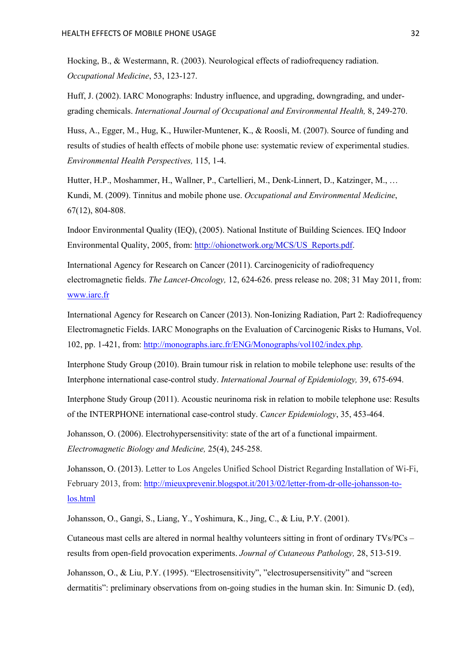Hocking, B., & Westermann, R. (2003). Neurological effects of radiofrequency radiation. *Occupational Medicine*, 53, 123-127.

Huff, J. (2002). IARC Monographs: Industry influence, and upgrading, downgrading, and undergrading chemicals. *International Journal of Occupational and Environmental Health,* 8, 249-270.

Huss, A., Egger, M., Hug, K., Huwiler-Muntener, K., & Roosli, M. (2007). Source of funding and results of studies of health effects of mobile phone use: systematic review of experimental studies. *Environmental Health Perspectives,* 115, 1-4.

Hutter, H.P., Moshammer, H., Wallner, P., Cartellieri, M., Denk-Linnert, D., Katzinger, M., … Kundi, M. (2009). Tinnitus and mobile phone use. *Occupational and Environmental Medicine*, 67(12), 804-808.

Indoor Environmental Quality (IEQ), (2005). National Institute of Building Sciences. IEQ Indoor Environmental Quality, 2005, from: http://ohionetwork.org/MCS/US\_Reports.pdf.

International Agency for Research on Cancer (2011). Carcinogenicity of radiofrequency electromagnetic fields. *The Lancet-Oncology,* 12, 624-626. press release no. 208; 31 May 2011, from: www.iarc.fr

International Agency for Research on Cancer (2013). Non-Ionizing Radiation, Part 2: Radiofrequency Electromagnetic Fields. IARC Monographs on the Evaluation of Carcinogenic Risks to Humans, Vol. 102, pp. 1-421, from: http://monographs.iarc.fr/ENG/Monographs/vol102/index.php.

Interphone Study Group (2010). Brain tumour risk in relation to mobile telephone use: results of the Interphone international case-control study. *International Journal of Epidemiology,* 39, 675-694.

Interphone Study Group (2011). Acoustic neurinoma risk in relation to mobile telephone use: Results of the INTERPHONE international case-control study. *Cancer Epidemiology*, 35, 453-464.

Johansson, O. (2006). Electrohypersensitivity: state of the art of a functional impairment. *Electromagnetic Biology and Medicine,* 25(4), 245-258.

Johansson, O. (2013). Letter to Los Angeles Unified School District Regarding Installation of Wi-Fi, February 2013, from: http://mieuxprevenir.blogspot.it/2013/02/letter-from-dr-olle-johansson-tolos.html

Johansson, O., Gangi, S., Liang, Y., Yoshimura, K., Jing, C., & Liu, P.Y. (2001).

Cutaneous mast cells are altered in normal healthy volunteers sitting in front of ordinary TVs/PCs – results from open-field provocation experiments. *Journal of Cutaneous Pathology,* 28, 513-519.

Johansson, O., & Liu, P.Y. (1995). "Electrosensitivity", "electrosupersensitivity" and "screen dermatitis": preliminary observations from on-going studies in the human skin. In: Simunic D. (ed),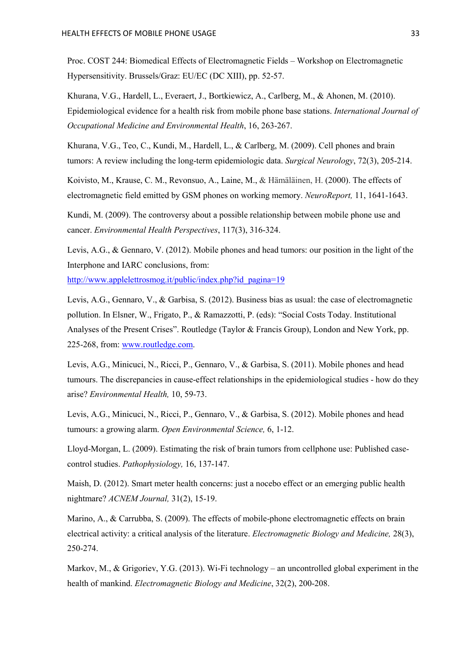Proc. COST 244: Biomedical Effects of Electromagnetic Fields – Workshop on Electromagnetic Hypersensitivity. Brussels/Graz: EU/EC (DC XIII), pp. 52-57.

Khurana, V.G., Hardell, L., Everaert, J., Bortkiewicz, A., Carlberg, M., & Ahonen, M. (2010). Epidemiological evidence for a health risk from mobile phone base stations. *International Journal of Occupational Medicine and Environmental Health*, 16, 263-267.

Khurana, V.G., Teo, C., Kundi, M., Hardell, L., & Carlberg, M. (2009). Cell phones and brain tumors: A review including the long-term epidemiologic data. *Surgical 7eurology*, 72(3), 205-214.

Koivisto, M., Krause, C. M., Revonsuo, A., Laine, M., & Hämäläinen, H. (2000). The effects of electromagnetic field emitted by GSM phones on working memory. *NeuroReport*, 11, 1641-1643.

Kundi, M. (2009). The controversy about a possible relationship between mobile phone use and cancer. *Environmental Health Perspectives*, 117(3), 316-324.

Levis, A.G., & Gennaro, V. (2012). Mobile phones and head tumors: our position in the light of the Interphone and IARC conclusions, from:

http://www.applelettrosmog.it/public/index.php?id\_pagina=19

Levis, A.G., Gennaro, V., & Garbisa, S. (2012). Business bias as usual: the case of electromagnetic pollution. In Elsner, W., Frigato, P., & Ramazzotti, P. (eds): "Social Costs Today. Institutional Analyses of the Present Crises". Routledge (Taylor & Francis Group), London and New York, pp. 225-268, from: www.routledge.com.

Levis, A.G., Minicuci, N., Ricci, P., Gennaro, V., & Garbisa, S. (2011). Mobile phones and head tumours. The discrepancies in cause-effect relationships in the epidemiological studies - how do they arise? *Environmental Health,* 10, 59-73.

Levis, A.G., Minicuci, N., Ricci, P., Gennaro, V., & Garbisa, S. (2012). Mobile phones and head tumours: a growing alarm. *Open Environmental Science,* 6, 1-12.

Lloyd-Morgan, L. (2009). Estimating the risk of brain tumors from cellphone use: Published casecontrol studies. *Pathophysiology,* 16, 137-147.

Maish, D. (2012). Smart meter health concerns: just a nocebo effect or an emerging public health nightmare? *AC7EM Journal,* 31(2), 15-19.

Marino, A., & Carrubba, S. (2009). The effects of mobile-phone electromagnetic effects on brain electrical activity: a critical analysis of the literature. *Electromagnetic Biology and Medicine,* 28(3), 250-274.

Markov, M., & Grigoriev, Y.G. (2013). Wi-Fi technology – an uncontrolled global experiment in the health of mankind. *Electromagnetic Biology and Medicine*, 32(2), 200-208.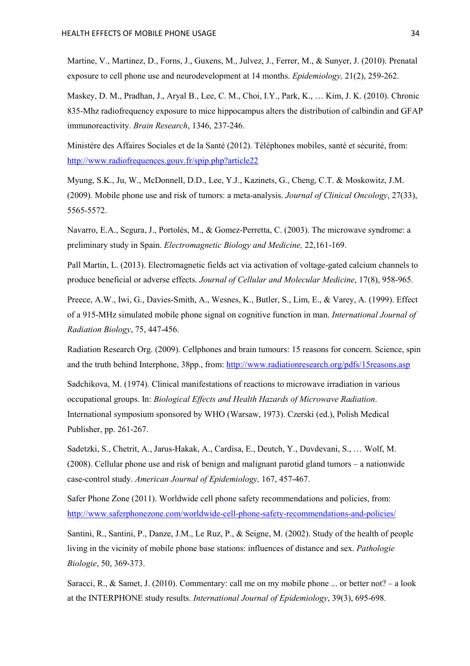Martine, V., Martinez, D., Forns, J., Guxens, M., Julvez, J., Ferrer, M., & Sunyer, J. (2010). Prenatal exposure to cell phone use and neurodevelopment at 14 months. *Epidemiology,* 21(2), 259-262.

Maskey, D. M., Pradhan, J., Aryal B., Lee, C. M., Choi, I.Y., Park, K., … Kim, J. K. (2010). Chronic 835-Mhz radiofrequency exposure to mice hippocampus alters the distribution of calbindin and GFAP immunoreactivity. *Brain Research*, 1346, 237-246.

Ministère des Affaires Sociales et de la Santé (2012). Téléphones mobiles, santé et sécurité, from: http://www.radiofrequences.gouv.fr/spip.php?article22

Myung, S.K., Ju, W., McDonnell, D.D., Lee, Y.J., Kazinets, G., Cheng, C.T. & Moskowitz, J.M. (2009). Mobile phone use and risk of tumors: a meta-analysis. *Journal of Clinical Oncology*, 27(33), 5565-5572.

Navarro, E.A., Segura, J., Portolés, M., & Gomez-Perretta, C. (2003). The microwave syndrome: a preliminary study in Spain. *Electromagnetic Biology and Medicine,* 22,161-169.

Pall Martin, L. (2013). Electromagnetic fields act via activation of voltage-gated calcium channels to produce beneficial or adverse effects. *Journal of Cellular and Molecular Medicine*, 17(8), 958-965.

Preece, A.W., Iwi, G., Davies-Smith, A., Wesnes, K., Butler, S., Lim, E., & Varey, A. (1999). Effect of a 915-MHz simulated mobile phone signal on cognitive function in man. *International Journal of Radiation Biology*, 75, 447-456.

Radiation Research Org. (2009). Cellphones and brain tumours: 15 reasons for concern. Science, spin and the truth behind Interphone, 38pp., from: http://www.radiationresearch.org/pdfs/15reasons.asp

Sadchikova, M. (1974). Clinical manifestations of reactions to microwave irradiation in various occupational groups. In: *Biological Effects and Health Hazards of Microwave Radiation*. International symposium sponsored by WHO (Warsaw, 1973). Czerski (ed.), Polish Medical Publisher, pp. 261-267.

Sadetzki, S., Chetrit, A., Jarus-Hakak, A., Cardisa, E., Deutch, Y., Duvdevani, S., … Wolf, M. (2008). Cellular phone use and risk of benign and malignant parotid gland tumors – a nationwide case-control study. *American Journal of Epidemiology,* 167, 457-467.

Safer Phone Zone (2011). Worldwide cell phone safety recommendations and policies, from: http://www.saferphonezone.com/worldwide-cell-phone-safety-recommendations-and-policies/

Santini, R., Santini, P., Danze, J.M., Le Ruz, P., & Seigne, M. (2002). Study of the health of people living in the vicinity of mobile phone base stations: influences of distance and sex. *Pathologie Biologie*, 50, 369-373.

Saracci, R., & Samet, J. (2010). Commentary: call me on my mobile phone ... or better not? – a look at the INTERPHONE study results. *International Journal of Epidemiology*, 39(3), 695-698.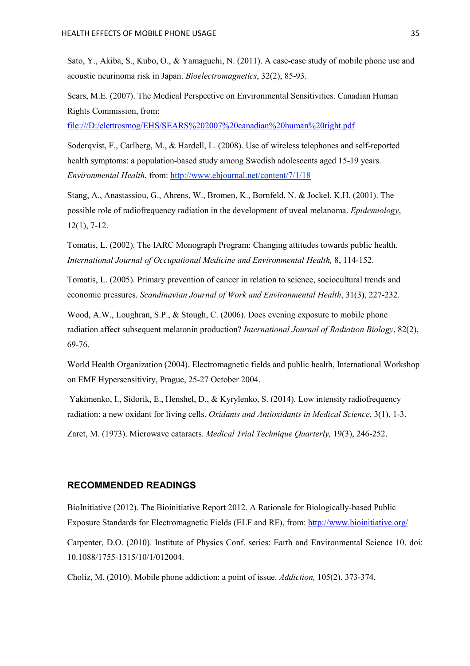Sato, Y., Akiba, S., Kubo, O., & Yamaguchi, N. (2011). A case-case study of mobile phone use and acoustic neurinoma risk in Japan. *Bioelectromagnetics*, 32(2), 85-93.

Sears, M.E. (2007). The Medical Perspective on Environmental Sensitivities. Canadian Human Rights Commission, from:

file:///D:/elettrosmog/EHS/SEARS%202007%20canadian%20human%20right.pdf

Soderqvist, F., Carlberg, M., & Hardell, L. (2008). Use of wireless telephones and self-reported health symptoms: a population-based study among Swedish adolescents aged 15-19 years. *Environmental Health*, from: http://www.ehjournal.net/content/7/1/18

Stang, A., Anastassiou, G., Ahrens, W., Bromen, K., Bornfeld, N. & Jockel, K.H. (2001). The possible role of radiofrequency radiation in the development of uveal melanoma. *Epidemiology*, 12(1), 7-12.

Tomatis, L. (2002). The IARC Monograph Program: Changing attitudes towards public health. *International Journal of Occupational Medicine and Environmental Health,* 8, 114-152.

Tomatis, L. (2005). Primary prevention of cancer in relation to science, sociocultural trends and economic pressures. *Scandinavian Journal of Work and Environmental Health*, 31(3), 227-232.

Wood, A.W., Loughran, S.P., & Stough, C. (2006). Does evening exposure to mobile phone radiation affect subsequent melatonin production? *International Journal of Radiation Biology*, 82(2), 69-76.

World Health Organization (2004). Electromagnetic fields and public health, International Workshop on EMF Hypersensitivity, Prague, 25-27 October 2004.

 Yakimenko, I., Sidorik, E., Henshel, D., & Kyrylenko, S. (2014). Low intensity radiofrequency radiation: a new oxidant for living cells. *Oxidants and Antioxidants in Medical Science*, 3(1), 1-3.

Zaret, M. (1973). Microwave cataracts. *Medical Trial Technique Quarterly,* 19(3), 246-252.

# **RECOMMENDED READINGS**

BioInitiative (2012). The Bioinitiative Report 2012. A Rationale for Biologically-based Public Exposure Standards for Electromagnetic Fields (ELF and RF), from: http://www.bioinitiative.org/

Carpenter, D.O. (2010). Institute of Physics Conf. series: Earth and Environmental Science 10. doi: 10.1088/1755-1315/10/1/012004.

Choliz, M. (2010). Mobile phone addiction: a point of issue. *Addiction,* 105(2), 373-374.